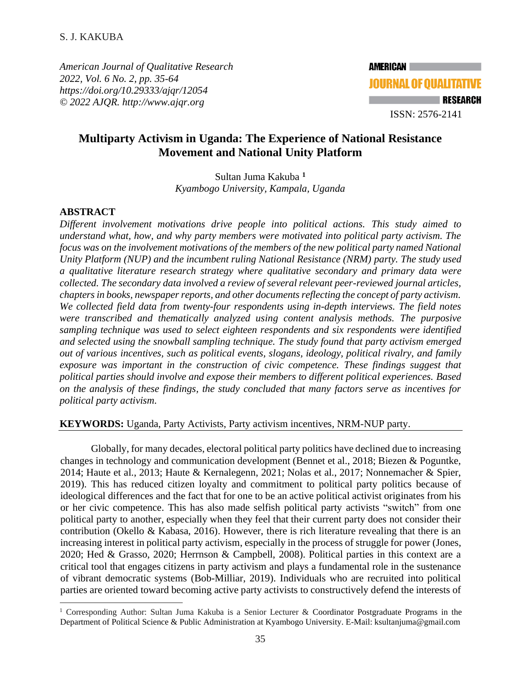*American Journal of Qualitative Research 2022, Vol. 6 No. 2, pp. 35-64 <https://doi.org/10.29333/ajqr/12054> © 2022 AJQR. http://www.ajqr.org*

**AMERICAN JOURNAL OF QUALITATIVE RESEARCH** ISSN: 2576-2141

# **Multiparty Activism in Uganda: The Experience of National Resistance Movement and National Unity Platform**

Sultan Juma Kakuba **<sup>1</sup>** *Kyambogo University, Kampala, Uganda*

### **ABSTRACT**

*Different involvement motivations drive people into political actions. This study aimed to understand what, how, and why party members were motivated into political party activism. The focus was on the involvement motivations of the members of the new political party named National Unity Platform (NUP) and the incumbent ruling National Resistance (NRM) party. The study used a qualitative literature research strategy where qualitative secondary and primary data were collected. The secondary data involved a review of several relevant peer-reviewed journal articles, chapters in books, newspaper reports, and other documents reflecting the concept of party activism. We collected field data from twenty-four respondents using in-depth interviews. The field notes were transcribed and thematically analyzed using content analysis methods. The purposive sampling technique was used to select eighteen respondents and six respondents were identified and selected using the snowball sampling technique. The study found that party activism emerged out of various incentives, such as political events, slogans, ideology, political rivalry, and family exposure was important in the construction of civic competence. These findings suggest that political parties should involve and expose their members to different political experiences. Based on the analysis of these findings, the study concluded that many factors serve as incentives for political party activism.*

**KEYWORDS:** Uganda, Party Activists, Party activism incentives, NRM-NUP party.

Globally, for many decades, electoral political party politics have declined due to increasing changes in technology and communication development (Bennet et al., 2018; Biezen & Poguntke, 2014; Haute et al., 2013; Haute & Kernalegenn, 2021; Nolas et al., 2017; Nonnemacher & Spier, 2019). This has reduced citizen loyalty and commitment to political party politics because of ideological differences and the fact that for one to be an active political activist originates from his or her civic competence. This has also made selfish political party activists "switch" from one political party to another, especially when they feel that their current party does not consider their contribution (Okello & Kabasa, 2016). However, there is rich literature revealing that there is an increasing interest in political party activism, especially in the process of struggle for power (Jones, 2020; Hed & Grasso, 2020; Herrnson & Campbell, 2008). Political parties in this context are a critical tool that engages citizens in party activism and plays a fundamental role in the sustenance of vibrant democratic systems (Bob-Milliar, 2019). Individuals who are recruited into political parties are oriented toward becoming active party activists to constructively defend the interests of

<sup>&</sup>lt;sup>1</sup> Corresponding Author: Sultan Juma Kakuba is a Senior Lecturer & Coordinator Postgraduate Programs in the Department of Political Science & Public Administration at Kyambogo University. E-Mail: ksultanjuma@gmail.com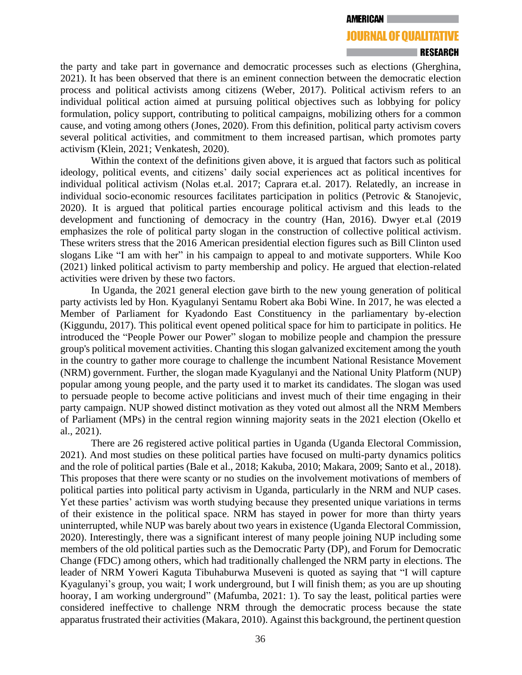### RESEARCH

the party and take part in governance and democratic processes such as elections (Gherghina, 2021). It has been observed that there is an eminent connection between the democratic election process and political activists among citizens (Weber, 2017). Political activism refers to an individual political action aimed at pursuing political objectives such as lobbying for policy formulation, policy support, contributing to political campaigns, mobilizing others for a common cause, and voting among others (Jones, 2020). From this definition, political party activism covers several political activities, and commitment to them increased partisan, which promotes party activism (Klein, 2021; Venkatesh, 2020).

Within the context of the definitions given above, it is argued that factors such as political ideology, political events, and citizens' daily social experiences act as political incentives for individual political activism (Nolas et.al. 2017; Caprara et.al. 2017). Relatedly, an increase in individual socio-economic resources facilitates participation in politics (Petrovic & Stanojevic, 2020). It is argued that political parties encourage political activism and this leads to the development and functioning of democracy in the country (Han, 2016). Dwyer et.al (2019 emphasizes the role of political party slogan in the construction of collective political activism. These writers stress that the 2016 American presidential election figures such as Bill Clinton used slogans Like "I am with her" in his campaign to appeal to and motivate supporters. While Koo (2021) linked political activism to party membership and policy. He argued that election-related activities were driven by these two factors.

In Uganda, the 2021 general election gave birth to the new young generation of political party activists led by Hon. Kyagulanyi Sentamu Robert aka Bobi Wine. In 2017, he was elected a Member of Parliament for Kyadondo East Constituency in the parliamentary by-election (Kiggundu, 2017). This political event opened political space for him to participate in politics. He introduced the "People Power our Power" slogan to mobilize people and champion the pressure group's political movement activities. Chanting this slogan galvanized excitement among the youth in the country to gather more courage to challenge the incumbent National Resistance Movement (NRM) government. Further, the slogan made Kyagulanyi and the National Unity Platform (NUP) popular among young people, and the party used it to market its candidates. The slogan was used to persuade people to become active politicians and invest much of their time engaging in their party campaign. NUP showed distinct motivation as they voted out almost all the NRM Members of Parliament (MPs) in the central region winning majority seats in the 2021 election (Okello et al., 2021).

There are 26 registered active political parties in Uganda (Uganda Electoral Commission, 2021). And most studies on these political parties have focused on multi-party dynamics politics and the role of political parties (Bale et al., 2018; Kakuba, 2010; Makara, 2009; Santo et al., 2018). This proposes that there were scanty or no studies on the involvement motivations of members of political parties into political party activism in Uganda, particularly in the NRM and NUP cases. Yet these parties' activism was worth studying because they presented unique variations in terms of their existence in the political space. NRM has stayed in power for more than thirty years uninterrupted, while NUP was barely about two years in existence (Uganda Electoral Commission, 2020). Interestingly, there was a significant interest of many people joining NUP including some members of the old political parties such as the Democratic Party (DP), and Forum for Democratic Change (FDC) among others, which had traditionally challenged the NRM party in elections. The leader of NRM Yoweri Kaguta Tibuhaburwa Museveni is quoted as saying that "I will capture Kyagulanyi's group, you wait; I work underground, but I will finish them; as you are up shouting hooray, I am working underground" (Mafumba, 2021: 1). To say the least, political parties were considered ineffective to challenge NRM through the democratic process because the state apparatus frustrated their activities (Makara, 2010). Against this background, the pertinent question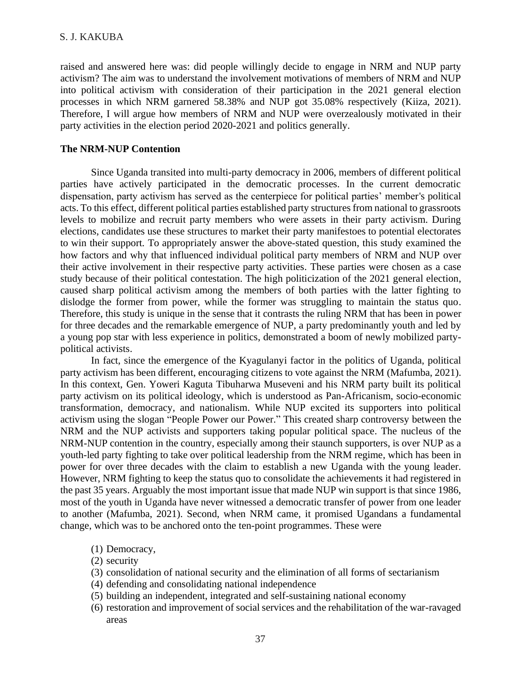raised and answered here was: did people willingly decide to engage in NRM and NUP party activism? The aim was to understand the involvement motivations of members of NRM and NUP into political activism with consideration of their participation in the 2021 general election processes in which NRM garnered 58.38% and NUP got 35.08% respectively (Kiiza, 2021). Therefore, I will argue how members of NRM and NUP were overzealously motivated in their party activities in the election period 2020-2021 and politics generally.

### **The NRM-NUP Contention**

Since Uganda transited into multi-party democracy in 2006, members of different political parties have actively participated in the democratic processes. In the current democratic dispensation, party activism has served as the centerpiece for political parties' member's political acts. To this effect, different political parties established party structures from national to grassroots levels to mobilize and recruit party members who were assets in their party activism. During elections, candidates use these structures to market their party manifestoes to potential electorates to win their support. To appropriately answer the above-stated question, this study examined the how factors and why that influenced individual political party members of NRM and NUP over their active involvement in their respective party activities. These parties were chosen as a case study because of their political contestation. The high politicization of the 2021 general election, caused sharp political activism among the members of both parties with the latter fighting to dislodge the former from power, while the former was struggling to maintain the status quo. Therefore, this study is unique in the sense that it contrasts the ruling NRM that has been in power for three decades and the remarkable emergence of NUP, a party predominantly youth and led by a young pop star with less experience in politics, demonstrated a boom of newly mobilized partypolitical activists.

In fact, since the emergence of the Kyagulanyi factor in the politics of Uganda, political party activism has been different, encouraging citizens to vote against the NRM (Mafumba, 2021). In this context, Gen. Yoweri Kaguta Tibuharwa Museveni and his NRM party built its political party activism on its political ideology, which is understood as Pan-Africanism, socio-economic transformation, democracy, and nationalism. While NUP excited its supporters into political activism using the slogan "People Power our Power." This created sharp controversy between the NRM and the NUP activists and supporters taking popular political space. The nucleus of the NRM-NUP contention in the country, especially among their staunch supporters, is over NUP as a youth-led party fighting to take over political leadership from the NRM regime, which has been in power for over three decades with the claim to establish a new Uganda with the young leader. However, NRM fighting to keep the status quo to consolidate the achievements it had registered in the past 35 years. Arguably the most important issue that made NUP win support is that since 1986, most of the youth in Uganda have never witnessed a democratic transfer of power from one leader to another (Mafumba, 2021). Second, when NRM came, it promised Ugandans a fundamental change, which was to be anchored onto the ten-point programmes. These were

- (1) Democracy,
- (2) security
- (3) consolidation of national security and the elimination of all forms of sectarianism
- (4) defending and consolidating national independence
- (5) building an independent, integrated and self-sustaining national economy
- (6) restoration and improvement of social services and the rehabilitation of the war-ravaged areas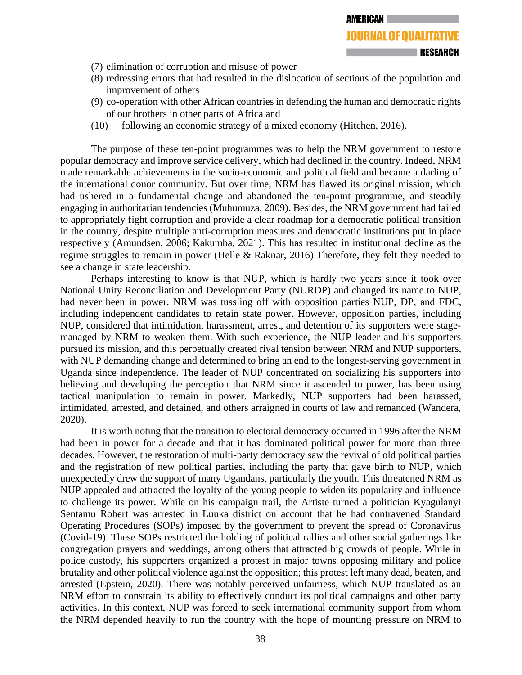- (7) elimination of corruption and misuse of power
- (8) redressing errors that had resulted in the dislocation of sections of the population and improvement of others
- (9) co-operation with other African countries in defending the human and democratic rights of our brothers in other parts of Africa and
- (10) following an economic strategy of a mixed economy (Hitchen, 2016).

The purpose of these ten-point programmes was to help the NRM government to restore popular democracy and improve service delivery, which had declined in the country. Indeed, NRM made remarkable achievements in the socio-economic and political field and became a darling of the international donor community. But over time, NRM has flawed its original mission, which had ushered in a fundamental change and abandoned the ten-point programme, and steadily engaging in authoritarian tendencies (Muhumuza, 2009). Besides, the NRM government had failed to appropriately fight corruption and provide a clear roadmap for a democratic political transition in the country, despite multiple anti-corruption measures and democratic institutions put in place respectively (Amundsen, 2006; Kakumba, 2021). This has resulted in institutional decline as the regime struggles to remain in power (Helle & Raknar, 2016) Therefore, they felt they needed to see a change in state leadership.

Perhaps interesting to know is that NUP, which is hardly two years since it took over National Unity Reconciliation and Development Party (NURDP) and changed its name to NUP, had never been in power. NRM was tussling off with opposition parties NUP, DP, and FDC, including independent candidates to retain state power. However, opposition parties, including NUP, considered that intimidation, harassment, arrest, and detention of its supporters were stagemanaged by NRM to weaken them. With such experience, the NUP leader and his supporters pursued its mission, and this perpetually created rival tension between NRM and NUP supporters, with NUP demanding change and determined to bring an end to the longest-serving government in Uganda since independence. The leader of NUP concentrated on socializing his supporters into believing and developing the perception that NRM since it ascended to power, has been using tactical manipulation to remain in power. Markedly, NUP supporters had been harassed, intimidated, arrested, and detained, and others arraigned in courts of law and remanded (Wandera, 2020).

It is worth noting that the transition to electoral democracy occurred in 1996 after the NRM had been in power for a decade and that it has dominated political power for more than three decades. However, the restoration of multi-party democracy saw the revival of old political parties and the registration of new political parties, including the party that gave birth to NUP, which unexpectedly drew the support of many Ugandans, particularly the youth. This threatened NRM as NUP appealed and attracted the loyalty of the young people to widen its popularity and influence to challenge its power. While on his campaign trail, the Artiste turned a politician Kyagulanyi Sentamu Robert was arrested in Luuka district on account that he had contravened Standard Operating Procedures (SOPs) imposed by the government to prevent the spread of Coronavirus (Covid-19). These SOPs restricted the holding of political rallies and other social gatherings like congregation prayers and weddings, among others that attracted big crowds of people. While in police custody, his supporters organized a protest in major towns opposing military and police brutality and other political violence against the opposition; this protest left many dead, beaten, and arrested (Epstein, 2020). There was notably perceived unfairness, which NUP translated as an NRM effort to constrain its ability to effectively conduct its political campaigns and other party activities. In this context, NUP was forced to seek international community support from whom the NRM depended heavily to run the country with the hope of mounting pressure on NRM to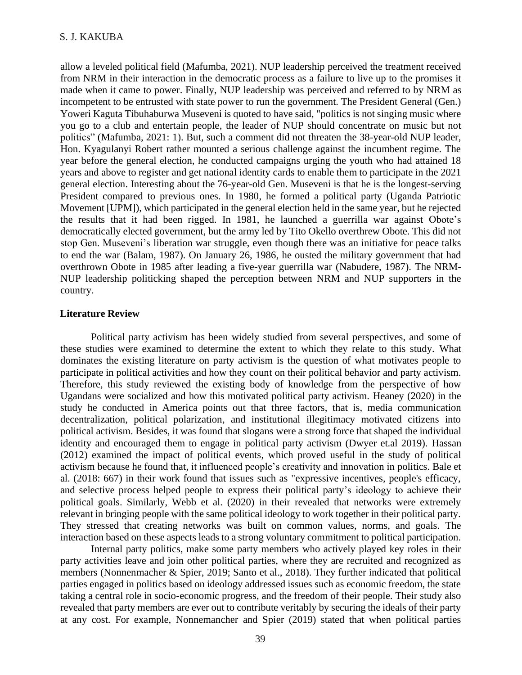allow a leveled political field (Mafumba, 2021). NUP leadership perceived the treatment received from NRM in their interaction in the democratic process as a failure to live up to the promises it made when it came to power. Finally, NUP leadership was perceived and referred to by NRM as incompetent to be entrusted with state power to run the government. The President General (Gen.) Yoweri Kaguta Tibuhaburwa Museveni is quoted to have said, "politics is not singing music where you go to a club and entertain people, the leader of NUP should concentrate on music but not politics" (Mafumba, 2021: 1). But, such a comment did not threaten the 38-year-old NUP leader, Hon. Kyagulanyi Robert rather mounted a serious challenge against the incumbent regime. The year before the general election, he conducted campaigns urging the youth who had attained 18 years and above to register and get national identity cards to enable them to participate in the 2021 general election. Interesting about the 76-year-old Gen. Museveni is that he is the longest-serving President compared to previous ones. In 1980, he formed a political party (Uganda Patriotic Movement [UPM]), which participated in the general election held in the same year, but he rejected the results that it had been rigged. In 1981, he launched a guerrilla war against Obote's democratically elected government, but the army led by Tito Okello overthrew Obote. This did not stop Gen. Museveni's liberation war struggle, even though there was an initiative for peace talks to end the war (Balam, 1987). On January 26, 1986, he ousted the military government that had overthrown Obote in 1985 after leading a five-year guerrilla war (Nabudere, 1987). The NRM-NUP leadership politicking shaped the perception between NRM and NUP supporters in the country.

### **Literature Review**

Political party activism has been widely studied from several perspectives, and some of these studies were examined to determine the extent to which they relate to this study. What dominates the existing literature on party activism is the question of what motivates people to participate in political activities and how they count on their political behavior and party activism. Therefore, this study reviewed the existing body of knowledge from the perspective of how Ugandans were socialized and how this motivated political party activism. Heaney (2020) in the study he conducted in America points out that three factors, that is, media communication decentralization, political polarization, and institutional illegitimacy motivated citizens into political activism. Besides, it was found that slogans were a strong force that shaped the individual identity and encouraged them to engage in political party activism (Dwyer et.al 2019). Hassan (2012) examined the impact of political events, which proved useful in the study of political activism because he found that, it influenced people's creativity and innovation in politics. Bale et al. (2018: 667) in their work found that issues such as "expressive incentives, people's efficacy, and selective process helped people to express their political party's ideology to achieve their political goals. Similarly, Webb et al. (2020) in their revealed that networks were extremely relevant in bringing people with the same political ideology to work together in their political party. They stressed that creating networks was built on common values, norms, and goals. The interaction based on these aspects leads to a strong voluntary commitment to political participation.

Internal party politics, make some party members who actively played key roles in their party activities leave and join other political parties, where they are recruited and recognized as members (Nonnenmacher & Spier, 2019; Santo et al., 2018). They further indicated that political parties engaged in politics based on ideology addressed issues such as economic freedom, the state taking a central role in socio-economic progress, and the freedom of their people. Their study also revealed that party members are ever out to contribute veritably by securing the ideals of their party at any cost. For example, Nonnemancher and Spier (2019) stated that when political parties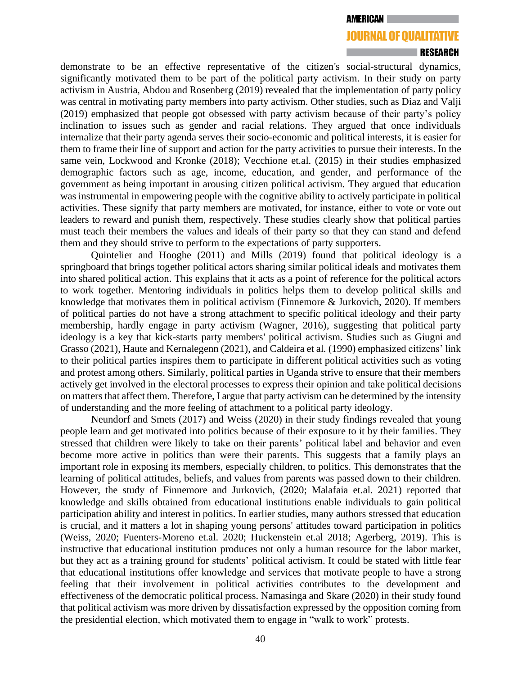### RESEARCH

demonstrate to be an effective representative of the citizen's social-structural dynamics, significantly motivated them to be part of the political party activism. In their study on party activism in Austria, Abdou and Rosenberg (2019) revealed that the implementation of party policy was central in motivating party members into party activism. Other studies, such as Diaz and Valji (2019) emphasized that people got obsessed with party activism because of their party's policy inclination to issues such as gender and racial relations. They argued that once individuals internalize that their party agenda serves their socio-economic and political interests, it is easier for them to frame their line of support and action for the party activities to pursue their interests. In the same vein, Lockwood and Kronke (2018); Vecchione et.al. (2015) in their studies emphasized demographic factors such as age, income, education, and gender, and performance of the government as being important in arousing citizen political activism. They argued that education was instrumental in empowering people with the cognitive ability to actively participate in political activities. These signify that party members are motivated, for instance, either to vote or vote out leaders to reward and punish them, respectively. These studies clearly show that political parties must teach their members the values and ideals of their party so that they can stand and defend them and they should strive to perform to the expectations of party supporters.

Quintelier and Hooghe (2011) and Mills (2019) found that political ideology is a springboard that brings together political actors sharing similar political ideals and motivates them into shared political action. This explains that it acts as a point of reference for the political actors to work together. Mentoring individuals in politics helps them to develop political skills and knowledge that motivates them in political activism (Finnemore & Jurkovich, 2020). If members of political parties do not have a strong attachment to specific political ideology and their party membership, hardly engage in party activism (Wagner, 2016), suggesting that political party ideology is a key that kick-starts party members' political activism. Studies such as Giugni and Grasso (2021), Haute and Kernalegenn (2021), and Caldeira et al. (1990) emphasized citizens' link to their political parties inspires them to participate in different political activities such as voting and protest among others. Similarly, political parties in Uganda strive to ensure that their members actively get involved in the electoral processes to express their opinion and take political decisions on matters that affect them. Therefore, I argue that party activism can be determined by the intensity of understanding and the more feeling of attachment to a political party ideology.

Neundorf and Smets (2017) and Weiss (2020) in their study findings revealed that young people learn and get motivated into politics because of their exposure to it by their families. They stressed that children were likely to take on their parents' political label and behavior and even become more active in politics than were their parents. This suggests that a family plays an important role in exposing its members, especially children, to politics. This demonstrates that the learning of political attitudes, beliefs, and values from parents was passed down to their children. However, the study of Finnemore and Jurkovich, (2020; Malafaia et.al. 2021) reported that knowledge and skills obtained from educational institutions enable individuals to gain political participation ability and interest in politics. In earlier studies, many authors stressed that education is crucial, and it matters a lot in shaping young persons' attitudes toward participation in politics (Weiss, 2020; Fuenters-Moreno et.al. 2020; Huckenstein et.al 2018; Agerberg, 2019). This is instructive that educational institution produces not only a human resource for the labor market, but they act as a training ground for students' political activism. It could be stated with little fear that educational institutions offer knowledge and services that motivate people to have a strong feeling that their involvement in political activities contributes to the development and effectiveness of the democratic political process. Namasinga and Skare (2020) in their study found that political activism was more driven by dissatisfaction expressed by the opposition coming from the presidential election, which motivated them to engage in "walk to work" protests.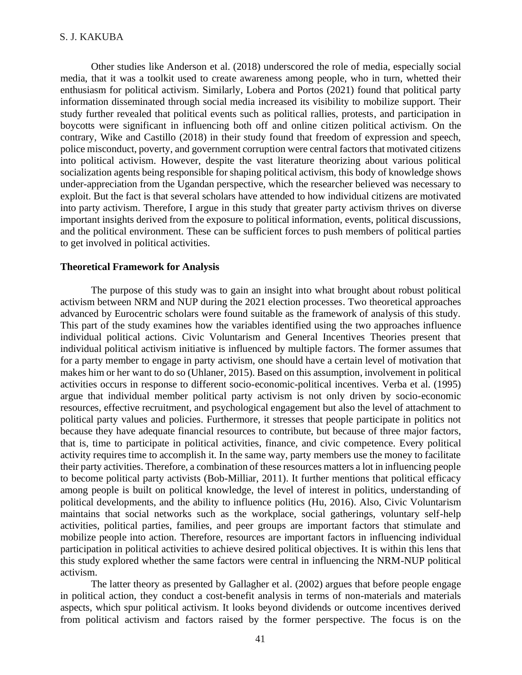Other studies like Anderson et al. (2018) underscored the role of media, especially social media, that it was a toolkit used to create awareness among people, who in turn, whetted their enthusiasm for political activism. Similarly, Lobera and Portos (2021) found that political party information disseminated through social media increased its visibility to mobilize support. Their study further revealed that political events such as political rallies, protests, and participation in boycotts were significant in influencing both off and online citizen political activism. On the contrary, Wike and Castillo (2018) in their study found that freedom of expression and speech, police misconduct, poverty, and government corruption were central factors that motivated citizens into political activism. However, despite the vast literature theorizing about various political socialization agents being responsible for shaping political activism, this body of knowledge shows under-appreciation from the Ugandan perspective, which the researcher believed was necessary to exploit. But the fact is that several scholars have attended to how individual citizens are motivated into party activism. Therefore, I argue in this study that greater party activism thrives on diverse important insights derived from the exposure to political information, events, political discussions, and the political environment. These can be sufficient forces to push members of political parties to get involved in political activities.

### **Theoretical Framework for Analysis**

The purpose of this study was to gain an insight into what brought about robust political activism between NRM and NUP during the 2021 election processes. Two theoretical approaches advanced by Eurocentric scholars were found suitable as the framework of analysis of this study. This part of the study examines how the variables identified using the two approaches influence individual political actions. Civic Voluntarism and General Incentives Theories present that individual political activism initiative is influenced by multiple factors. The former assumes that for a party member to engage in party activism, one should have a certain level of motivation that makes him or her want to do so (Uhlaner, 2015). Based on this assumption, involvement in political activities occurs in response to different socio-economic-political incentives. Verba et al. (1995) argue that individual member political party activism is not only driven by socio-economic resources, effective recruitment, and psychological engagement but also the level of attachment to political party values and policies. Furthermore, it stresses that people participate in politics not because they have adequate financial resources to contribute, but because of three major factors, that is, time to participate in political activities, finance, and civic competence. Every political activity requires time to accomplish it. In the same way, party members use the money to facilitate their party activities. Therefore, a combination of these resources matters a lot in influencing people to become political party activists (Bob-Milliar, 2011). It further mentions that political efficacy among people is built on political knowledge, the level of interest in politics, understanding of political developments, and the ability to influence politics (Hu, 2016). Also, Civic Voluntarism maintains that social networks such as the workplace, social gatherings, voluntary self-help activities, political parties, families, and peer groups are important factors that stimulate and mobilize people into action. Therefore, resources are important factors in influencing individual participation in political activities to achieve desired political objectives. It is within this lens that this study explored whether the same factors were central in influencing the NRM-NUP political activism.

The latter theory as presented by Gallagher et al. (2002) argues that before people engage in political action, they conduct a cost-benefit analysis in terms of non-materials and materials aspects, which spur political activism. It looks beyond dividends or outcome incentives derived from political activism and factors raised by the former perspective. The focus is on the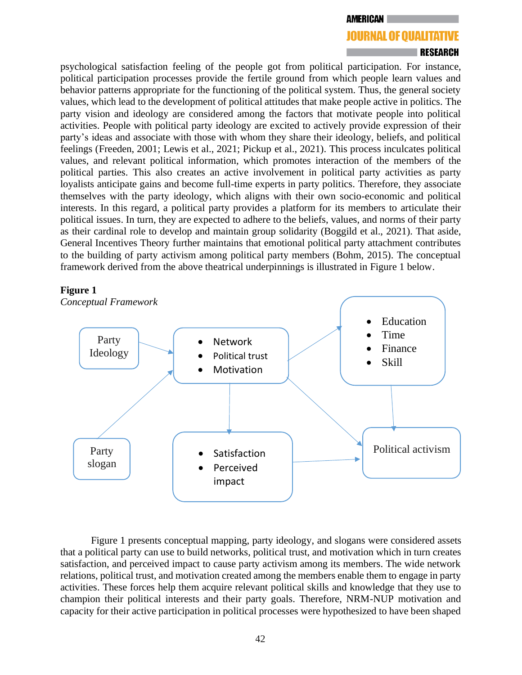#### **AMERICAN**

# **JOURNAL OF QUALITATIVE**

## RESEARCH

psychological satisfaction feeling of the people got from political participation. For instance, political participation processes provide the fertile ground from which people learn values and behavior patterns appropriate for the functioning of the political system. Thus, the general society values, which lead to the development of political attitudes that make people active in politics. The party vision and ideology are considered among the factors that motivate people into political activities. People with political party ideology are excited to actively provide expression of their party's ideas and associate with those with whom they share their ideology, beliefs, and political feelings (Freeden, 2001; Lewis et al., 2021; Pickup et al., 2021). This process inculcates political values, and relevant political information, which promotes interaction of the members of the political parties. This also creates an active involvement in political party activities as party loyalists anticipate gains and become full-time experts in party politics. Therefore, they associate themselves with the party ideology, which aligns with their own socio-economic and political interests. In this regard, a political party provides a platform for its members to articulate their political issues. In turn, they are expected to adhere to the beliefs, values, and norms of their party as their cardinal role to develop and maintain group solidarity (Boggild et al., 2021). That aside, General Incentives Theory further maintains that emotional political party attachment contributes to the building of party activism among political party members (Bohm, 2015). The conceptual framework derived from the above theatrical underpinnings is illustrated in Figure 1 below.

### **Figure 1**



Figure 1 presents conceptual mapping, party ideology, and slogans were considered assets that a political party can use to build networks, political trust, and motivation which in turn creates satisfaction, and perceived impact to cause party activism among its members. The wide network relations, political trust, and motivation created among the members enable them to engage in party activities. These forces help them acquire relevant political skills and knowledge that they use to champion their political interests and their party goals. Therefore, NRM-NUP motivation and capacity for their active participation in political processes were hypothesized to have been shaped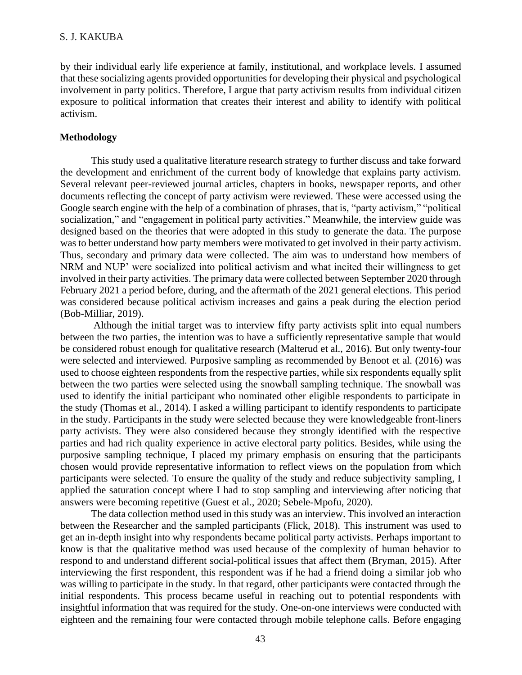by their individual early life experience at family, institutional, and workplace levels. I assumed that these socializing agents provided opportunities for developing their physical and psychological involvement in party politics. Therefore, I argue that party activism results from individual citizen exposure to political information that creates their interest and ability to identify with political activism.

# **Methodology**

This study used a qualitative literature research strategy to further discuss and take forward the development and enrichment of the current body of knowledge that explains party activism. Several relevant peer-reviewed journal articles, chapters in books, newspaper reports, and other documents reflecting the concept of party activism were reviewed. These were accessed using the Google search engine with the help of a combination of phrases, that is, "party activism," "political socialization," and "engagement in political party activities." Meanwhile, the interview guide was designed based on the theories that were adopted in this study to generate the data. The purpose was to better understand how party members were motivated to get involved in their party activism. Thus, secondary and primary data were collected. The aim was to understand how members of NRM and NUP' were socialized into political activism and what incited their willingness to get involved in their party activities. The primary data were collected between September 2020 through February 2021 a period before, during, and the aftermath of the 2021 general elections. This period was considered because political activism increases and gains a peak during the election period (Bob-Milliar, 2019).

Although the initial target was to interview fifty party activists split into equal numbers between the two parties, the intention was to have a sufficiently representative sample that would be considered robust enough for qualitative research (Malterud et al., 2016). But only twenty-four were selected and interviewed. Purposive sampling as recommended by Benoot et al. (2016) was used to choose eighteen respondents from the respective parties, while six respondents equally split between the two parties were selected using the snowball sampling technique. The snowball was used to identify the initial participant who nominated other eligible respondents to participate in the study (Thomas et al., 2014). I asked a willing participant to identify respondents to participate in the study. Participants in the study were selected because they were knowledgeable front-liners party activists. They were also considered because they strongly identified with the respective parties and had rich quality experience in active electoral party politics. Besides, while using the purposive sampling technique, I placed my primary emphasis on ensuring that the participants chosen would provide representative information to reflect views on the population from which participants were selected. To ensure the quality of the study and reduce subjectivity sampling, I applied the saturation concept where I had to stop sampling and interviewing after noticing that answers were becoming repetitive (Guest et al., 2020; Sebele-Mpofu, 2020).

The data collection method used in this study was an interview. This involved an interaction between the Researcher and the sampled participants (Flick, 2018). This instrument was used to get an in-depth insight into why respondents became political party activists. Perhaps important to know is that the qualitative method was used because of the complexity of human behavior to respond to and understand different social-political issues that affect them (Bryman, 2015). After interviewing the first respondent, this respondent was if he had a friend doing a similar job who was willing to participate in the study. In that regard, other participants were contacted through the initial respondents. This process became useful in reaching out to potential respondents with insightful information that was required for the study. One-on-one interviews were conducted with eighteen and the remaining four were contacted through mobile telephone calls. Before engaging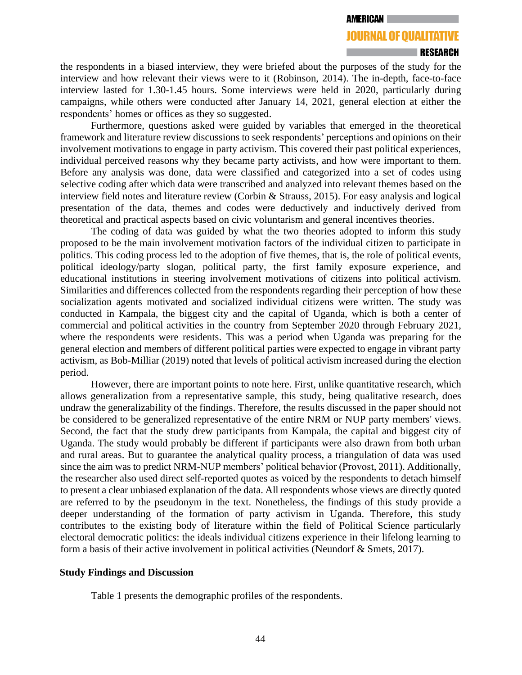# RESEARCH

the respondents in a biased interview, they were briefed about the purposes of the study for the interview and how relevant their views were to it (Robinson, 2014). The in-depth, face-to-face interview lasted for 1.30-1.45 hours. Some interviews were held in 2020, particularly during campaigns, while others were conducted after January 14, 2021, general election at either the respondents' homes or offices as they so suggested.

Furthermore, questions asked were guided by variables that emerged in the theoretical framework and literature review discussions to seek respondents' perceptions and opinions on their involvement motivations to engage in party activism. This covered their past political experiences, individual perceived reasons why they became party activists, and how were important to them. Before any analysis was done, data were classified and categorized into a set of codes using selective coding after which data were transcribed and analyzed into relevant themes based on the interview field notes and literature review (Corbin & Strauss, 2015). For easy analysis and logical presentation of the data, themes and codes were deductively and inductively derived from theoretical and practical aspects based on civic voluntarism and general incentives theories.

The coding of data was guided by what the two theories adopted to inform this study proposed to be the main involvement motivation factors of the individual citizen to participate in politics. This coding process led to the adoption of five themes, that is, the role of political events, political ideology/party slogan, political party, the first family exposure experience, and educational institutions in steering involvement motivations of citizens into political activism. Similarities and differences collected from the respondents regarding their perception of how these socialization agents motivated and socialized individual citizens were written. The study was conducted in Kampala, the biggest city and the capital of Uganda, which is both a center of commercial and political activities in the country from September 2020 through February 2021, where the respondents were residents. This was a period when Uganda was preparing for the general election and members of different political parties were expected to engage in vibrant party activism, as Bob-Milliar (2019) noted that levels of political activism increased during the election period.

However, there are important points to note here. First, unlike quantitative research, which allows generalization from a representative sample, this study, being qualitative research, does undraw the generalizability of the findings. Therefore, the results discussed in the paper should not be considered to be generalized representative of the entire NRM or NUP party members' views. Second, the fact that the study drew participants from Kampala, the capital and biggest city of Uganda. The study would probably be different if participants were also drawn from both urban and rural areas. But to guarantee the analytical quality process, a triangulation of data was used since the aim was to predict NRM-NUP members' political behavior (Provost, 2011). Additionally, the researcher also used direct self-reported quotes as voiced by the respondents to detach himself to present a clear unbiased explanation of the data. All respondents whose views are directly quoted are referred to by the pseudonym in the text. Nonetheless, the findings of this study provide a deeper understanding of the formation of party activism in Uganda. Therefore, this study contributes to the existing body of literature within the field of Political Science particularly electoral democratic politics: the ideals individual citizens experience in their lifelong learning to form a basis of their active involvement in political activities (Neundorf & Smets, 2017).

# **Study Findings and Discussion**

Table 1 presents the demographic profiles of the respondents.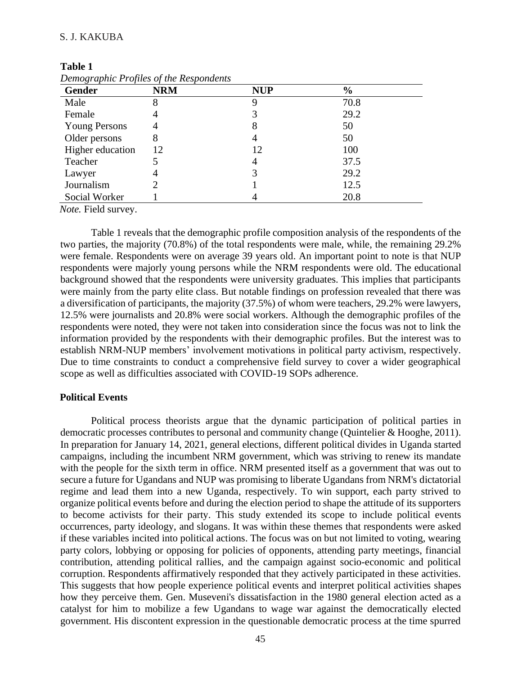# S. J. KAKUBA

**Table 1** 

| Gender               | <b>NRM</b> | <b>NUP</b> | $\frac{6}{9}$ |  |
|----------------------|------------|------------|---------------|--|
| Male                 |            | 9          | 70.8          |  |
| Female               |            |            | 29.2          |  |
| <b>Young Persons</b> |            | 8          | 50            |  |
| Older persons        | 8          | 4          | 50            |  |
| Higher education     | 12         | 12         | 100           |  |
| Teacher              |            | 4          | 37.5          |  |
| Lawyer               |            |            | 29.2          |  |
| Journalism           |            |            | 12.5          |  |
| Social Worker        |            |            | 20.8          |  |

| raviv r |                                         |  |
|---------|-----------------------------------------|--|
|         | Demographic Profiles of the Respondents |  |

*Note.* Field survey.

Table 1 reveals that the demographic profile composition analysis of the respondents of the two parties, the majority (70.8%) of the total respondents were male, while, the remaining 29.2% were female. Respondents were on average 39 years old. An important point to note is that NUP respondents were majorly young persons while the NRM respondents were old. The educational background showed that the respondents were university graduates. This implies that participants were mainly from the party elite class. But notable findings on profession revealed that there was a diversification of participants, the majority (37.5%) of whom were teachers, 29.2% were lawyers, 12.5% were journalists and 20.8% were social workers. Although the demographic profiles of the respondents were noted, they were not taken into consideration since the focus was not to link the information provided by the respondents with their demographic profiles. But the interest was to establish NRM-NUP members' involvement motivations in political party activism, respectively. Due to time constraints to conduct a comprehensive field survey to cover a wider geographical scope as well as difficulties associated with COVID-19 SOPs adherence.

#### **Political Events**

Political process theorists argue that the dynamic participation of political parties in democratic processes contributes to personal and community change (Quintelier & Hooghe, 2011). In preparation for January 14, 2021, general elections, different political divides in Uganda started campaigns, including the incumbent NRM government, which was striving to renew its mandate with the people for the sixth term in office. NRM presented itself as a government that was out to secure a future for Ugandans and NUP was promising to liberate Ugandans from NRM's dictatorial regime and lead them into a new Uganda, respectively. To win support, each party strived to organize political events before and during the election period to shape the attitude of its supporters to become activists for their party. This study extended its scope to include political events occurrences, party ideology, and slogans. It was within these themes that respondents were asked if these variables incited into political actions. The focus was on but not limited to voting, wearing party colors, lobbying or opposing for policies of opponents, attending party meetings, financial contribution, attending political rallies, and the campaign against socio-economic and political corruption. Respondents affirmatively responded that they actively participated in these activities. This suggests that how people experience political events and interpret political activities shapes how they perceive them. Gen. Museveni's dissatisfaction in the 1980 general election acted as a catalyst for him to mobilize a few Ugandans to wage war against the democratically elected government. His discontent expression in the questionable democratic process at the time spurred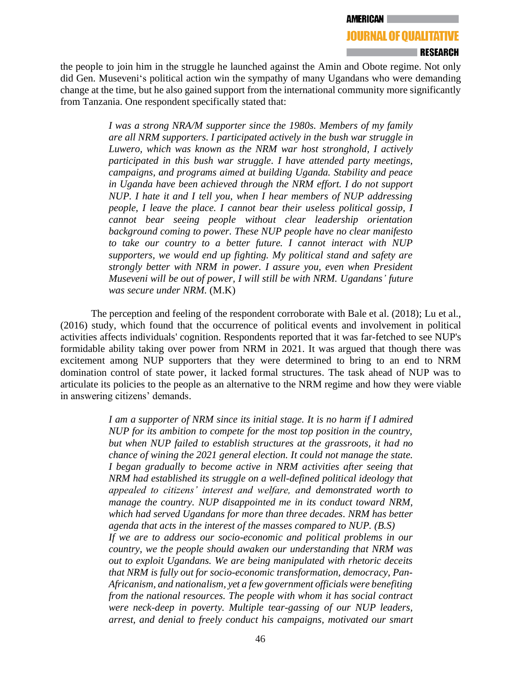# **RESEARCH**

the people to join him in the struggle he launched against the Amin and Obote regime. Not only did Gen. Museveni's political action win the sympathy of many Ugandans who were demanding change at the time, but he also gained support from the international community more significantly from Tanzania. One respondent specifically stated that:

> *I was a strong NRA/M supporter since the 1980s. Members of my family are all NRM supporters. I participated actively in the bush war struggle in Luwero, which was known as the NRM war host stronghold, I actively participated in this bush war struggle. I have attended party meetings, campaigns, and programs aimed at building Uganda. Stability and peace in Uganda have been achieved through the NRM effort. I do not support NUP. I hate it and I tell you, when I hear members of NUP addressing people, I leave the place. I cannot bear their useless political gossip, I cannot bear seeing people without clear leadership orientation background coming to power. These NUP people have no clear manifesto to take our country to a better future. I cannot interact with NUP supporters, we would end up fighting. My political stand and safety are strongly better with NRM in power. I assure you, even when President Museveni will be out of power, I will still be with NRM. Ugandans' future was secure under NRM.* (M.K)

The perception and feeling of the respondent corroborate with Bale et al. (2018); Lu et al., (2016) study, which found that the occurrence of political events and involvement in political activities affects individuals' cognition. Respondents reported that it was far-fetched to see NUP's formidable ability taking over power from NRM in 2021. It was argued that though there was excitement among NUP supporters that they were determined to bring to an end to NRM domination control of state power, it lacked formal structures. The task ahead of NUP was to articulate its policies to the people as an alternative to the NRM regime and how they were viable in answering citizens' demands.

> *I am a supporter of NRM since its initial stage. It is no harm if I admired NUP for its ambition to compete for the most top position in the country, but when NUP failed to establish structures at the grassroots, it had no chance of wining the 2021 general election. It could not manage the state. I began gradually to become active in NRM activities after seeing that NRM had established its struggle on a well-defined political ideology that appealed to citizens' interest and welfare, and demonstrated worth to manage the country. NUP disappointed me in its conduct toward NRM, which had served Ugandans for more than three decades. NRM has better agenda that acts in the interest of the masses compared to NUP. (B.S) If we are to address our socio-economic and political problems in our country, we the people should awaken our understanding that NRM was out to exploit Ugandans. We are being manipulated with rhetoric deceits that NRM is fully out for socio-economic transformation, democracy, Pan-Africanism, and nationalism, yet a few government officials were benefiting from the national resources. The people with whom it has social contract were neck-deep in poverty. Multiple tear-gassing of our NUP leaders, arrest, and denial to freely conduct his campaigns, motivated our smart*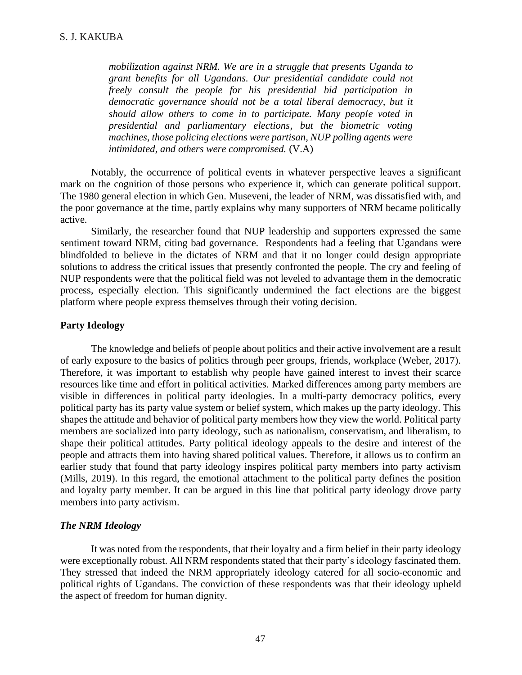*mobilization against NRM. We are in a struggle that presents Uganda to grant benefits for all Ugandans. Our presidential candidate could not freely consult the people for his presidential bid participation in democratic governance should not be a total liberal democracy, but it should allow others to come in to participate. Many people voted in presidential and parliamentary elections, but the biometric voting machines, those policing elections were partisan, NUP polling agents were intimidated, and others were compromised.* (V.A)

Notably, the occurrence of political events in whatever perspective leaves a significant mark on the cognition of those persons who experience it, which can generate political support. The 1980 general election in which Gen. Museveni, the leader of NRM, was dissatisfied with, and the poor governance at the time, partly explains why many supporters of NRM became politically active.

Similarly, the researcher found that NUP leadership and supporters expressed the same sentiment toward NRM, citing bad governance. Respondents had a feeling that Ugandans were blindfolded to believe in the dictates of NRM and that it no longer could design appropriate solutions to address the critical issues that presently confronted the people. The cry and feeling of NUP respondents were that the political field was not leveled to advantage them in the democratic process, especially election. This significantly undermined the fact elections are the biggest platform where people express themselves through their voting decision.

# **Party Ideology**

The knowledge and beliefs of people about politics and their active involvement are a result of early exposure to the basics of politics through peer groups, friends, workplace (Weber, 2017). Therefore, it was important to establish why people have gained interest to invest their scarce resources like time and effort in political activities. Marked differences among party members are visible in differences in political party ideologies. In a multi-party democracy politics, every political party has its party value system or belief system, which makes up the party ideology. This shapes the attitude and behavior of political party members how they view the world. Political party members are socialized into party ideology, such as nationalism, conservatism, and liberalism, to shape their political attitudes. Party political ideology appeals to the desire and interest of the people and attracts them into having shared political values. Therefore, it allows us to confirm an earlier study that found that party ideology inspires political party members into party activism (Mills, 2019). In this regard, the emotional attachment to the political party defines the position and loyalty party member. It can be argued in this line that political party ideology drove party members into party activism.

# *The NRM Ideology*

It was noted from the respondents, that their loyalty and a firm belief in their party ideology were exceptionally robust. All NRM respondents stated that their party's ideology fascinated them. They stressed that indeed the NRM appropriately ideology catered for all socio-economic and political rights of Ugandans. The conviction of these respondents was that their ideology upheld the aspect of freedom for human dignity.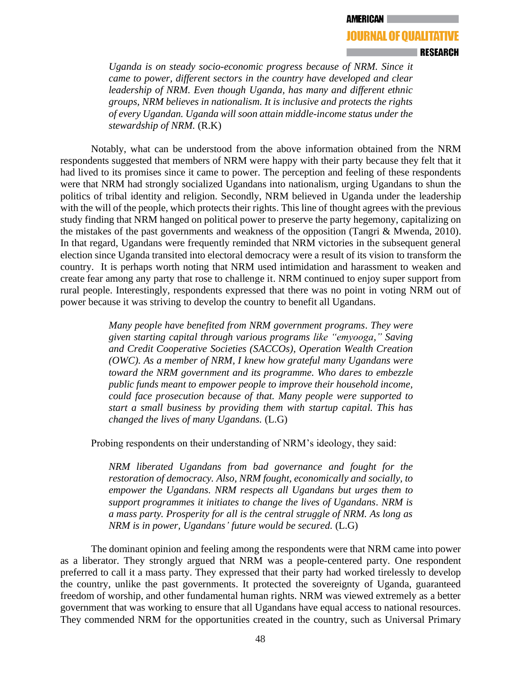#### **RESEARCH**

*Uganda is on steady socio-economic progress because of NRM. Since it came to power, different sectors in the country have developed and clear leadership of NRM. Even though Uganda, has many and different ethnic groups, NRM believes in nationalism. It is inclusive and protects the rights of every Ugandan. Uganda will soon attain middle-income status under the stewardship of NRM.* (R.K)

Notably, what can be understood from the above information obtained from the NRM respondents suggested that members of NRM were happy with their party because they felt that it had lived to its promises since it came to power. The perception and feeling of these respondents were that NRM had strongly socialized Ugandans into nationalism, urging Ugandans to shun the politics of tribal identity and religion. Secondly, NRM believed in Uganda under the leadership with the will of the people, which protects their rights. This line of thought agrees with the previous study finding that NRM hanged on political power to preserve the party hegemony, capitalizing on the mistakes of the past governments and weakness of the opposition (Tangri & Mwenda, 2010). In that regard, Ugandans were frequently reminded that NRM victories in the subsequent general election since Uganda transited into electoral democracy were a result of its vision to transform the country. It is perhaps worth noting that NRM used intimidation and harassment to weaken and create fear among any party that rose to challenge it. NRM continued to enjoy super support from rural people. Interestingly, respondents expressed that there was no point in voting NRM out of power because it was striving to develop the country to benefit all Ugandans.

> *Many people have benefited from NRM government programs. They were given starting capital through various programs like "emyooga," Saving and Credit Cooperative Societies (SACCOs), Operation Wealth Creation (OWC). As a member of NRM, I knew how grateful many Ugandans were toward the NRM government and its programme. Who dares to embezzle public funds meant to empower people to improve their household income, could face prosecution because of that. Many people were supported to start a small business by providing them with startup capital. This has changed the lives of many Ugandans.* (L.G)

Probing respondents on their understanding of NRM's ideology, they said:

*NRM liberated Ugandans from bad governance and fought for the restoration of democracy. Also, NRM fought, economically and socially, to empower the Ugandans. NRM respects all Ugandans but urges them to support programmes it initiates to change the lives of Ugandans. NRM is a mass party. Prosperity for all is the central struggle of NRM. As long as NRM is in power, Ugandans' future would be secured.* (L.G)

The dominant opinion and feeling among the respondents were that NRM came into power as a liberator. They strongly argued that NRM was a people-centered party. One respondent preferred to call it a mass party. They expressed that their party had worked tirelessly to develop the country, unlike the past governments. It protected the sovereignty of Uganda, guaranteed freedom of worship, and other fundamental human rights. NRM was viewed extremely as a better government that was working to ensure that all Ugandans have equal access to national resources. They commended NRM for the opportunities created in the country, such as Universal Primary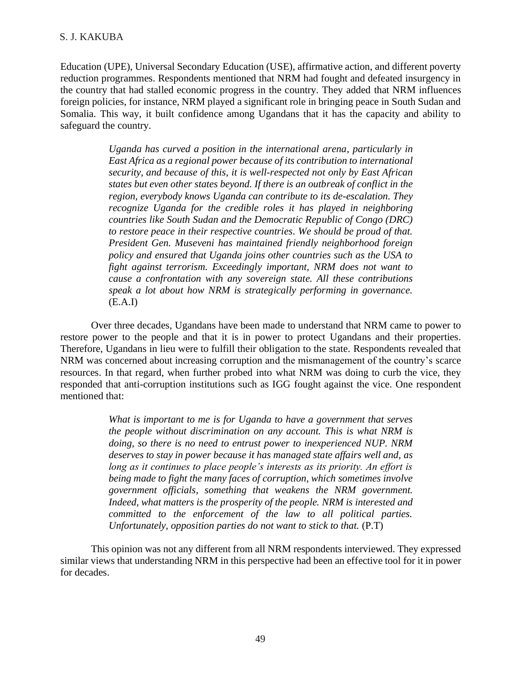Education (UPE), Universal Secondary Education (USE), affirmative action, and different poverty reduction programmes. Respondents mentioned that NRM had fought and defeated insurgency in the country that had stalled economic progress in the country. They added that NRM influences foreign policies, for instance, NRM played a significant role in bringing peace in South Sudan and Somalia. This way, it built confidence among Ugandans that it has the capacity and ability to safeguard the country.

> *Uganda has curved a position in the international arena, particularly in East Africa as a regional power because of its contribution to international security, and because of this, it is well-respected not only by East African states but even other states beyond. If there is an outbreak of conflict in the region, everybody knows Uganda can contribute to its de-escalation. They recognize Uganda for the credible roles it has played in neighboring countries like South Sudan and the Democratic Republic of Congo (DRC) to restore peace in their respective countries. We should be proud of that. President Gen. Museveni has maintained friendly neighborhood foreign policy and ensured that Uganda joins other countries such as the USA to fight against terrorism. Exceedingly important, NRM does not want to cause a confrontation with any sovereign state. All these contributions speak a lot about how NRM is strategically performing in governance.*  $(E.A.I)$

Over three decades, Ugandans have been made to understand that NRM came to power to restore power to the people and that it is in power to protect Ugandans and their properties. Therefore, Ugandans in lieu were to fulfill their obligation to the state. Respondents revealed that NRM was concerned about increasing corruption and the mismanagement of the country's scarce resources. In that regard, when further probed into what NRM was doing to curb the vice, they responded that anti-corruption institutions such as IGG fought against the vice. One respondent mentioned that:

> *What is important to me is for Uganda to have a government that serves the people without discrimination on any account. This is what NRM is doing, so there is no need to entrust power to inexperienced NUP. NRM deserves to stay in power because it has managed state affairs well and, as long as it continues to place people's interests as its priority. An effort is being made to fight the many faces of corruption, which sometimes involve government officials, something that weakens the NRM government. Indeed, what matters is the prosperity of the people. NRM is interested and committed to the enforcement of the law to all political parties. Unfortunately, opposition parties do not want to stick to that.* (P.T)

This opinion was not any different from all NRM respondents interviewed. They expressed similar views that understanding NRM in this perspective had been an effective tool for it in power for decades.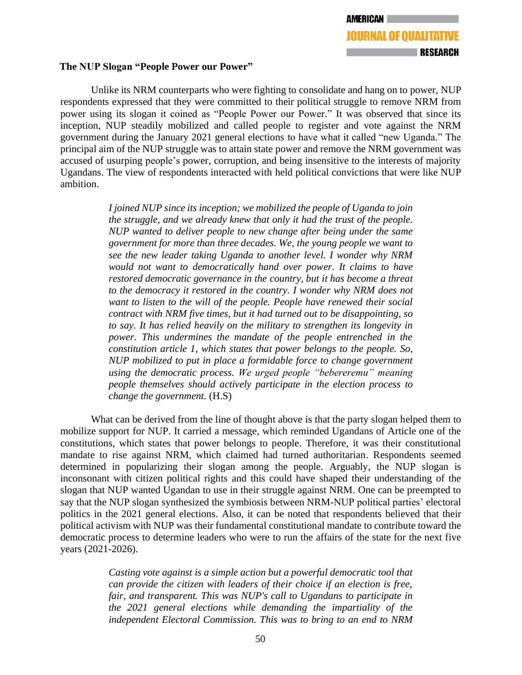# **The NUP Slogan "People Power our Power"**

Unlike its NRM counterparts who were fighting to consolidate and hang on to power, NUP respondents expressed that they were committed to their political struggle to remove NRM from power using its slogan it coined as "People Power our Power." It was observed that since its inception, NUP steadily mobilized and called people to register and vote against the NRM government during the January 2021 general elections to have what it called "new Uganda." The principal aim of the NUP struggle was to attain state power and remove the NRM government was accused of usurping people's power, corruption, and being insensitive to the interests of majority Ugandans. The view of respondents interacted with held political convictions that were like NUP ambition.

> *I joined NUP since its inception; we mobilized the people of Uganda to join the struggle, and we already knew that only it had the trust of the people. NUP wanted to deliver people to new change after being under the same government for more than three decades. We, the young people we want to see the new leader taking Uganda to another level. I wonder why NRM would not want to democratically hand over power. It claims to have restored democratic governance in the country, but it has become a threat to the democracy it restored in the country. I wonder why NRM does not want to listen to the will of the people. People have renewed their social contract with NRM five times, but it had turned out to be disappointing, so to say. It has relied heavily on the military to strengthen its longevity in power. This undermines the mandate of the people entrenched in the constitution article 1, which states that power belongs to the people. So, NUP mobilized to put in place a formidable force to change government using the democratic process. We urged people "bebereremu" meaning people themselves should actively participate in the election process to change the government.* (H.S)

What can be derived from the line of thought above is that the party slogan helped them to mobilize support for NUP. It carried a message, which reminded Ugandans of Article one of the constitutions, which states that power belongs to people. Therefore, it was their constitutional mandate to rise against NRM, which claimed had turned authoritarian. Respondents seemed determined in popularizing their slogan among the people. Arguably, the NUP slogan is inconsonant with citizen political rights and this could have shaped their understanding of the slogan that NUP wanted Ugandan to use in their struggle against NRM. One can be preempted to say that the NUP slogan synthesized the symbiosis between NRM-NUP political parties' electoral politics in the 2021 general elections. Also, it can be noted that respondents believed that their political activism with NUP was their fundamental constitutional mandate to contribute toward the democratic process to determine leaders who were to run the affairs of the state for the next five years (2021-2026).

> *Casting vote against is a simple action but a powerful democratic tool that can provide the citizen with leaders of their choice if an election is free, fair, and transparent. This was NUP's call to Ugandans to participate in the 2021 general elections while demanding the impartiality of the independent Electoral Commission. This was to bring to an end to NRM*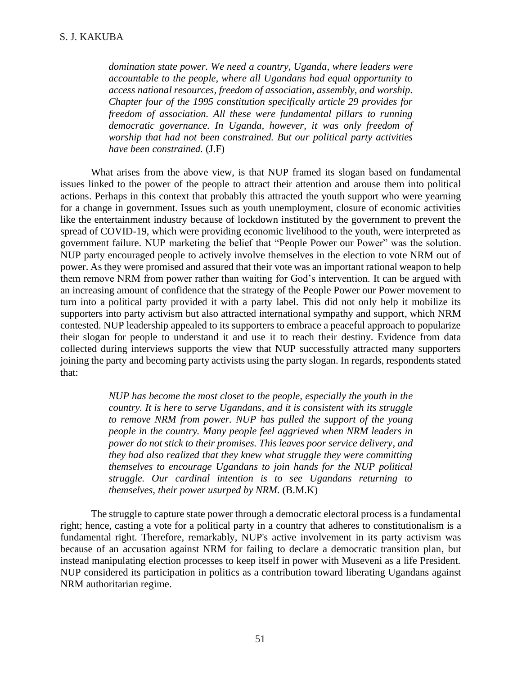*domination state power. We need a country, Uganda, where leaders were accountable to the people, where all Ugandans had equal opportunity to access national resources, freedom of association, assembly, and worship. Chapter four of the 1995 constitution specifically article 29 provides for freedom of association. All these were fundamental pillars to running democratic governance. In Uganda, however, it was only freedom of worship that had not been constrained. But our political party activities have been constrained.* (J.F)

What arises from the above view, is that NUP framed its slogan based on fundamental issues linked to the power of the people to attract their attention and arouse them into political actions. Perhaps in this context that probably this attracted the youth support who were yearning for a change in government. Issues such as youth unemployment, closure of economic activities like the entertainment industry because of lockdown instituted by the government to prevent the spread of COVID-19, which were providing economic livelihood to the youth, were interpreted as government failure. NUP marketing the belief that "People Power our Power" was the solution. NUP party encouraged people to actively involve themselves in the election to vote NRM out of power. As they were promised and assured that their vote was an important rational weapon to help them remove NRM from power rather than waiting for God's intervention. It can be argued with an increasing amount of confidence that the strategy of the People Power our Power movement to turn into a political party provided it with a party label. This did not only help it mobilize its supporters into party activism but also attracted international sympathy and support, which NRM contested. NUP leadership appealed to its supporters to embrace a peaceful approach to popularize their slogan for people to understand it and use it to reach their destiny. Evidence from data collected during interviews supports the view that NUP successfully attracted many supporters joining the party and becoming party activists using the party slogan. In regards, respondents stated that:

> *NUP has become the most closet to the people, especially the youth in the country. It is here to serve Ugandans, and it is consistent with its struggle to remove NRM from power. NUP has pulled the support of the young people in the country. Many people feel aggrieved when NRM leaders in power do not stick to their promises. This leaves poor service delivery, and they had also realized that they knew what struggle they were committing themselves to encourage Ugandans to join hands for the NUP political struggle. Our cardinal intention is to see Ugandans returning to themselves, their power usurped by NRM.* (B.M.K)

The struggle to capture state power through a democratic electoral process is a fundamental right; hence, casting a vote for a political party in a country that adheres to constitutionalism is a fundamental right. Therefore, remarkably, NUP's active involvement in its party activism was because of an accusation against NRM for failing to declare a democratic transition plan, but instead manipulating election processes to keep itself in power with Museveni as a life President. NUP considered its participation in politics as a contribution toward liberating Ugandans against NRM authoritarian regime.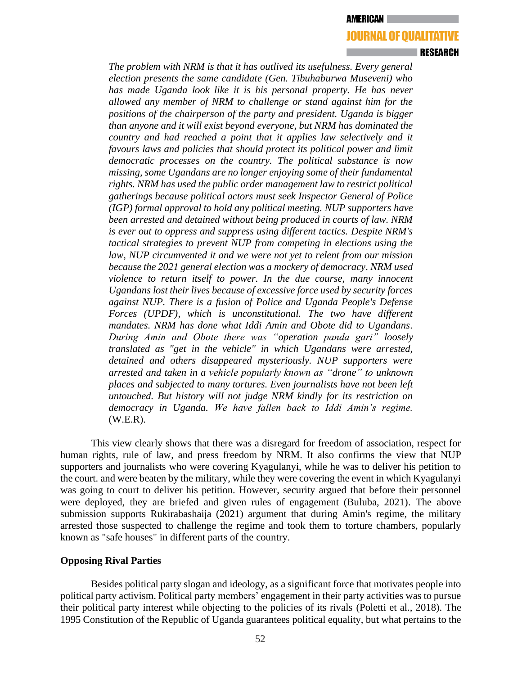#### **∣RESEARCH**

*The problem with NRM is that it has outlived its usefulness. Every general election presents the same candidate (Gen. Tibuhaburwa Museveni) who has made Uganda look like it is his personal property. He has never allowed any member of NRM to challenge or stand against him for the positions of the chairperson of the party and president. Uganda is bigger than anyone and it will exist beyond everyone, but NRM has dominated the country and had reached a point that it applies law selectively and it favours laws and policies that should protect its political power and limit democratic processes on the country. The political substance is now missing, some Ugandans are no longer enjoying some of their fundamental rights. NRM has used the public order management law to restrict political gatherings because political actors must seek Inspector General of Police (IGP) formal approval to hold any political meeting. NUP supporters have been arrested and detained without being produced in courts of law. NRM is ever out to oppress and suppress using different tactics. Despite NRM's tactical strategies to prevent NUP from competing in elections using the law, NUP circumvented it and we were not yet to relent from our mission because the 2021 general election was a mockery of democracy. NRM used violence to return itself to power. In the due course, many innocent Ugandans lost their lives because of excessive force used by security forces against NUP. There is a fusion of Police and Uganda People's Defense Forces (UPDF), which is unconstitutional. The two have different mandates. NRM has done what Iddi Amin and Obote did to Ugandans. During Amin and Obote there was "operation panda gari" loosely translated as "get in the vehicle" in which Ugandans were arrested, detained and others disappeared mysteriously. NUP supporters were arrested and taken in a vehicle popularly known as "drone" to unknown places and subjected to many tortures. Even journalists have not been left untouched. But history will not judge NRM kindly for its restriction on democracy in Uganda. We have fallen back to Iddi Amin's regime.*  (W.E.R).

This view clearly shows that there was a disregard for freedom of association, respect for human rights, rule of law, and press freedom by NRM. It also confirms the view that NUP supporters and journalists who were covering Kyagulanyi, while he was to deliver his petition to the court. and were beaten by the military, while they were covering the event in which Kyagulanyi was going to court to deliver his petition. However, security argued that before their personnel were deployed, they are briefed and given rules of engagement (Buluba, 2021). The above submission supports Rukirabashaija (2021) argument that during Amin's regime, the military arrested those suspected to challenge the regime and took them to torture chambers, popularly known as "safe houses" in different parts of the country.

### **Opposing Rival Parties**

Besides political party slogan and ideology, as a significant force that motivates people into political party activism. Political party members' engagement in their party activities was to pursue their political party interest while objecting to the policies of its rivals (Poletti et al., 2018). The 1995 Constitution of the Republic of Uganda guarantees political equality, but what pertains to the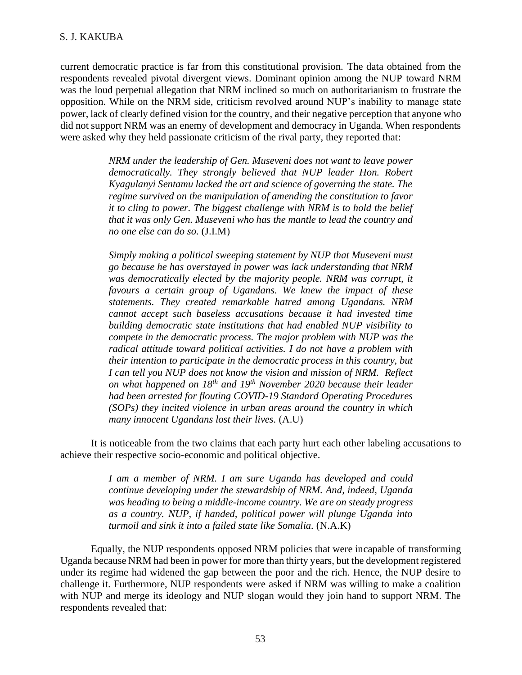# S. J. KAKUBA

current democratic practice is far from this constitutional provision. The data obtained from the respondents revealed pivotal divergent views. Dominant opinion among the NUP toward NRM was the loud perpetual allegation that NRM inclined so much on authoritarianism to frustrate the opposition. While on the NRM side, criticism revolved around NUP's inability to manage state power, lack of clearly defined vision for the country, and their negative perception that anyone who did not support NRM was an enemy of development and democracy in Uganda. When respondents were asked why they held passionate criticism of the rival party, they reported that:

> *NRM under the leadership of Gen. Museveni does not want to leave power democratically. They strongly believed that NUP leader Hon. Robert Kyagulanyi Sentamu lacked the art and science of governing the state. The regime survived on the manipulation of amending the constitution to favor it to cling to power. The biggest challenge with NRM is to hold the belief that it was only Gen. Museveni who has the mantle to lead the country and no one else can do so.* (J.I.M)

> *Simply making a political sweeping statement by NUP that Museveni must go because he has overstayed in power was lack understanding that NRM was democratically elected by the majority people. NRM was corrupt, it favours a certain group of Ugandans. We knew the impact of these statements. They created remarkable hatred among Ugandans. NRM cannot accept such baseless accusations because it had invested time building democratic state institutions that had enabled NUP visibility to compete in the democratic process. The major problem with NUP was the radical attitude toward political activities. I do not have a problem with their intention to participate in the democratic process in this country, but I can tell you NUP does not know the vision and mission of NRM. Reflect on what happened on 18th and 19th November 2020 because their leader had been arrested for flouting COVID-19 Standard Operating Procedures (SOPs) they incited violence in urban areas around the country in which many innocent Ugandans lost their lives.* (A.U)

It is noticeable from the two claims that each party hurt each other labeling accusations to achieve their respective socio-economic and political objective.

> *I am a member of NRM. I am sure Uganda has developed and could continue developing under the stewardship of NRM. And, indeed, Uganda was heading to being a middle-income country. We are on steady progress as a country. NUP, if handed, political power will plunge Uganda into turmoil and sink it into a failed state like Somalia.* (N.A.K)

Equally, the NUP respondents opposed NRM policies that were incapable of transforming Uganda because NRM had been in power for more than thirty years, but the development registered under its regime had widened the gap between the poor and the rich. Hence, the NUP desire to challenge it. Furthermore, NUP respondents were asked if NRM was willing to make a coalition with NUP and merge its ideology and NUP slogan would they join hand to support NRM. The respondents revealed that: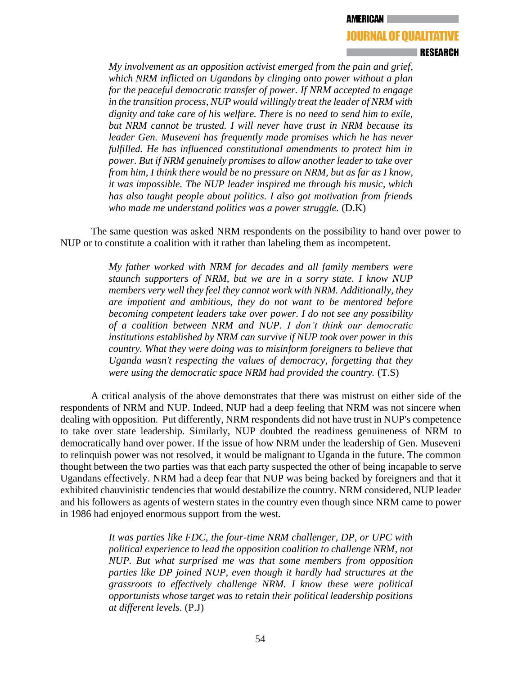### I RESEARCH

*My involvement as an opposition activist emerged from the pain and grief, which NRM inflicted on Ugandans by clinging onto power without a plan for the peaceful democratic transfer of power. If NRM accepted to engage in the transition process, NUP would willingly treat the leader of NRM with dignity and take care of his welfare. There is no need to send him to exile, but NRM cannot be trusted. I will never have trust in NRM because its leader Gen. Museveni has frequently made promises which he has never*  fulfilled. He has influenced constitutional amendments to protect him in *power. But if NRM genuinely promises to allow another leader to take over from him, I think there would be no pressure on NRM, but as far as I know, it was impossible. The NUP leader inspired me through his music, which has also taught people about politics. I also got motivation from friends*  who made me understand politics was a power struggle. (D.K)

The same question was asked NRM respondents on the possibility to hand over power to NUP or to constitute a coalition with it rather than labeling them as incompetent.

> *My father worked with NRM for decades and all family members were staunch supporters of NRM, but we are in a sorry state. I know NUP members very well they feel they cannot work with NRM. Additionally, they are impatient and ambitious, they do not want to be mentored before becoming competent leaders take over power. I do not see any possibility of a coalition between NRM and NUP. I don't think our democratic institutions established by NRM can survive if NUP took over power in this country. What they were doing was to misinform foreigners to believe that Uganda wasn't respecting the values of democracy, forgetting that they were using the democratic space NRM had provided the country.* (T.S)

A critical analysis of the above demonstrates that there was mistrust on either side of the respondents of NRM and NUP. Indeed, NUP had a deep feeling that NRM was not sincere when dealing with opposition. Put differently, NRM respondents did not have trust in NUP's competence to take over state leadership. Similarly, NUP doubted the readiness genuineness of NRM to democratically hand over power. If the issue of how NRM under the leadership of Gen. Museveni to relinquish power was not resolved, it would be malignant to Uganda in the future. The common thought between the two parties was that each party suspected the other of being incapable to serve Ugandans effectively. NRM had a deep fear that NUP was being backed by foreigners and that it exhibited chauvinistic tendencies that would destabilize the country. NRM considered, NUP leader and his followers as agents of western states in the country even though since NRM came to power in 1986 had enjoyed enormous support from the west.

> *It was parties like FDC, the four-time NRM challenger, DP, or UPC with political experience to lead the opposition coalition to challenge NRM, not NUP. But what surprised me was that some members from opposition parties like DP joined NUP, even though it hardly had structures at the grassroots to effectively challenge NRM. I know these were political opportunists whose target was to retain their political leadership positions at different levels.* (P.J)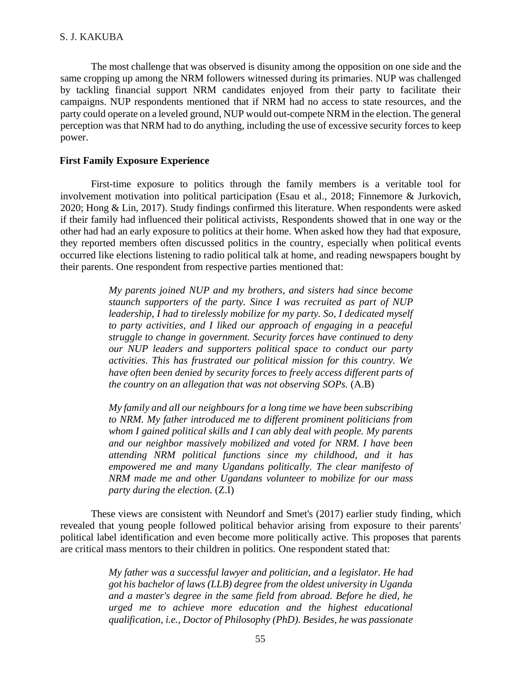The most challenge that was observed is disunity among the opposition on one side and the same cropping up among the NRM followers witnessed during its primaries. NUP was challenged by tackling financial support NRM candidates enjoyed from their party to facilitate their campaigns. NUP respondents mentioned that if NRM had no access to state resources, and the party could operate on a leveled ground, NUP would out-compete NRM in the election. The general perception was that NRM had to do anything, including the use of excessive security forces to keep power.

# **First Family Exposure Experience**

First-time exposure to politics through the family members is a veritable tool for involvement motivation into political participation (Esau et al., 2018; Finnemore & Jurkovich, 2020; Hong & Lin, 2017). Study findings confirmed this literature. When respondents were asked if their family had influenced their political activists, Respondents showed that in one way or the other had had an early exposure to politics at their home. When asked how they had that exposure, they reported members often discussed politics in the country, especially when political events occurred like elections listening to radio political talk at home, and reading newspapers bought by their parents. One respondent from respective parties mentioned that:

> *My parents joined NUP and my brothers, and sisters had since become staunch supporters of the party. Since I was recruited as part of NUP leadership, I had to tirelessly mobilize for my party. So, I dedicated myself to party activities, and I liked our approach of engaging in a peaceful struggle to change in government. Security forces have continued to deny our NUP leaders and supporters political space to conduct our party activities. This has frustrated our political mission for this country. We have often been denied by security forces to freely access different parts of the country on an allegation that was not observing SOPs.* (A.B)

> *My family and all our neighbours for a long time we have been subscribing to NRM. My father introduced me to different prominent politicians from whom I gained political skills and I can ably deal with people. My parents and our neighbor massively mobilized and voted for NRM. I have been attending NRM political functions since my childhood, and it has empowered me and many Ugandans politically. The clear manifesto of NRM made me and other Ugandans volunteer to mobilize for our mass party during the election.* (Z.I)

These views are consistent with Neundorf and Smet's (2017) earlier study finding, which revealed that young people followed political behavior arising from exposure to their parents' political label identification and even become more politically active. This proposes that parents are critical mass mentors to their children in politics. One respondent stated that:

> *My father was a successful lawyer and politician, and a legislator. He had got his bachelor of laws (LLB) degree from the oldest university in Uganda and a master's degree in the same field from abroad. Before he died, he urged me to achieve more education and the highest educational qualification, i.e., Doctor of Philosophy (PhD). Besides, he was passionate*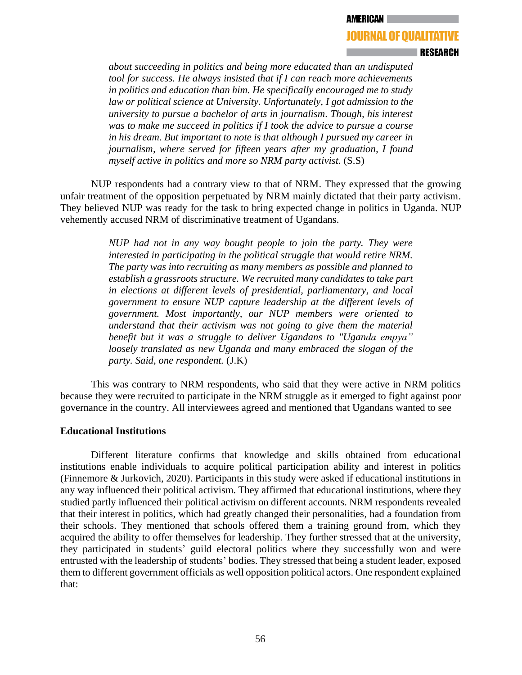**AMERICAN** 

### **JOURNAL OF QUALITATIVE**

### **∣RESEARCH**

*about succeeding in politics and being more educated than an undisputed tool for success. He always insisted that if I can reach more achievements in politics and education than him. He specifically encouraged me to study law or political science at University. Unfortunately, I got admission to the university to pursue a bachelor of arts in journalism. Though, his interest was to make me succeed in politics if I took the advice to pursue a course in his dream. But important to note is that although I pursued my career in journalism, where served for fifteen years after my graduation, I found myself active in politics and more so NRM party activist.* (S.S)

NUP respondents had a contrary view to that of NRM. They expressed that the growing unfair treatment of the opposition perpetuated by NRM mainly dictated that their party activism. They believed NUP was ready for the task to bring expected change in politics in Uganda. NUP vehemently accused NRM of discriminative treatment of Ugandans.

> *NUP had not in any way bought people to join the party. They were interested in participating in the political struggle that would retire NRM. The party was into recruiting as many members as possible and planned to establish a grassroots structure. We recruited many candidates to take part in elections at different levels of presidential, parliamentary, and local government to ensure NUP capture leadership at the different levels of government. Most importantly, our NUP members were oriented to understand that their activism was not going to give them the material benefit but it was a struggle to deliver Ugandans to "Uganda empya" loosely translated as new Uganda and many embraced the slogan of the party. Said, one respondent.* (J.K)

This was contrary to NRM respondents, who said that they were active in NRM politics because they were recruited to participate in the NRM struggle as it emerged to fight against poor governance in the country. All interviewees agreed and mentioned that Ugandans wanted to see

## **Educational Institutions**

Different literature confirms that knowledge and skills obtained from educational institutions enable individuals to acquire political participation ability and interest in politics (Finnemore & Jurkovich, 2020). Participants in this study were asked if educational institutions in any way influenced their political activism. They affirmed that educational institutions, where they studied partly influenced their political activism on different accounts. NRM respondents revealed that their interest in politics, which had greatly changed their personalities, had a foundation from their schools. They mentioned that schools offered them a training ground from, which they acquired the ability to offer themselves for leadership. They further stressed that at the university, they participated in students' guild electoral politics where they successfully won and were entrusted with the leadership of students' bodies. They stressed that being a student leader, exposed them to different government officials as well opposition political actors. One respondent explained that: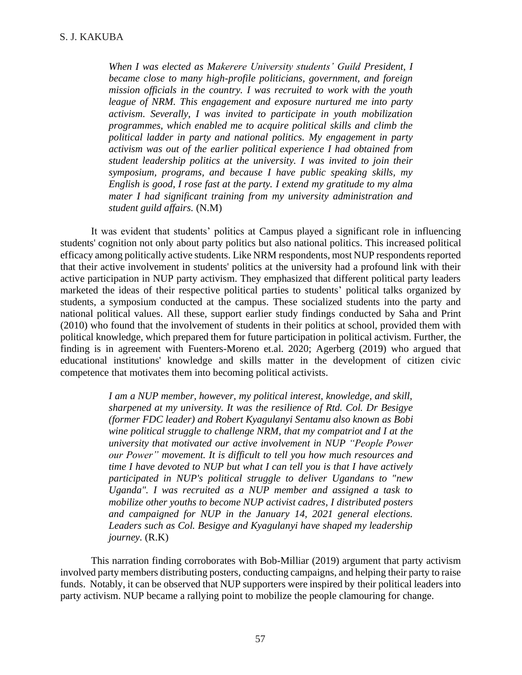*When I was elected as Makerere University students' Guild President, I became close to many high-profile politicians, government, and foreign mission officials in the country. I was recruited to work with the youth league of NRM. This engagement and exposure nurtured me into party activism. Severally, I was invited to participate in youth mobilization programmes, which enabled me to acquire political skills and climb the political ladder in party and national politics. My engagement in party activism was out of the earlier political experience I had obtained from student leadership politics at the university. I was invited to join their symposium, programs, and because I have public speaking skills, my English is good, I rose fast at the party. I extend my gratitude to my alma mater I had significant training from my university administration and student guild affairs.* (N.M)

It was evident that students' politics at Campus played a significant role in influencing students' cognition not only about party politics but also national politics. This increased political efficacy among politically active students. Like NRM respondents, most NUP respondents reported that their active involvement in students' politics at the university had a profound link with their active participation in NUP party activism. They emphasized that different political party leaders marketed the ideas of their respective political parties to students' political talks organized by students, a symposium conducted at the campus. These socialized students into the party and national political values. All these, support earlier study findings conducted by Saha and Print (2010) who found that the involvement of students in their politics at school, provided them with political knowledge, which prepared them for future participation in political activism. Further, the finding is in agreement with Fuenters-Moreno et.al. 2020; Agerberg (2019) who argued that educational institutions' knowledge and skills matter in the development of citizen civic competence that motivates them into becoming political activists.

> *I am a NUP member, however, my political interest, knowledge, and skill, sharpened at my university. It was the resilience of Rtd. Col. Dr Besigye (former FDC leader) and Robert Kyagulanyi Sentamu also known as Bobi wine political struggle to challenge NRM, that my compatriot and I at the university that motivated our active involvement in NUP "People Power our Power" movement. It is difficult to tell you how much resources and time I have devoted to NUP but what I can tell you is that I have actively participated in NUP's political struggle to deliver Ugandans to "new Uganda". I was recruited as a NUP member and assigned a task to mobilize other youths to become NUP activist cadres, I distributed posters and campaigned for NUP in the January 14, 2021 general elections. Leaders such as Col. Besigye and Kyagulanyi have shaped my leadership journey.* (R.K)

This narration finding corroborates with Bob-Milliar (2019) argument that party activism involved party members distributing posters, conducting campaigns, and helping their party to raise funds. Notably, it can be observed that NUP supporters were inspired by their political leaders into party activism. NUP became a rallying point to mobilize the people clamouring for change.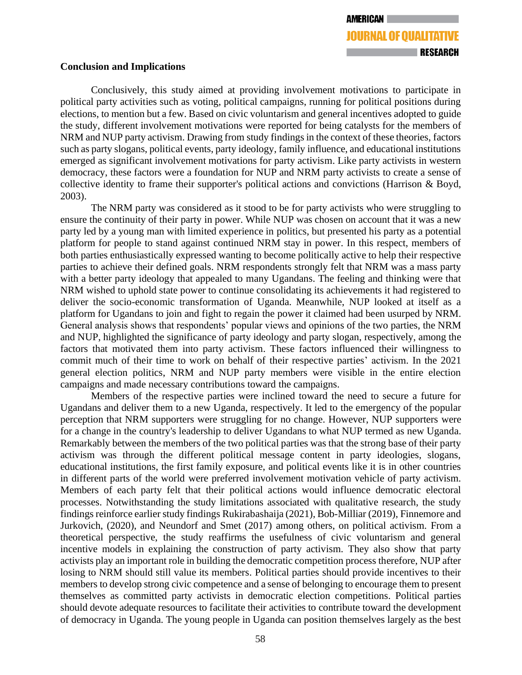### **Conclusion and Implications**

Conclusively, this study aimed at providing involvement motivations to participate in political party activities such as voting, political campaigns, running for political positions during elections, to mention but a few. Based on civic voluntarism and general incentives adopted to guide the study, different involvement motivations were reported for being catalysts for the members of NRM and NUP party activism. Drawing from study findings in the context of these theories, factors such as party slogans, political events, party ideology, family influence, and educational institutions emerged as significant involvement motivations for party activism. Like party activists in western democracy, these factors were a foundation for NUP and NRM party activists to create a sense of collective identity to frame their supporter's political actions and convictions (Harrison & Boyd, 2003).

The NRM party was considered as it stood to be for party activists who were struggling to ensure the continuity of their party in power. While NUP was chosen on account that it was a new party led by a young man with limited experience in politics, but presented his party as a potential platform for people to stand against continued NRM stay in power. In this respect, members of both parties enthusiastically expressed wanting to become politically active to help their respective parties to achieve their defined goals. NRM respondents strongly felt that NRM was a mass party with a better party ideology that appealed to many Ugandans. The feeling and thinking were that NRM wished to uphold state power to continue consolidating its achievements it had registered to deliver the socio-economic transformation of Uganda. Meanwhile, NUP looked at itself as a platform for Ugandans to join and fight to regain the power it claimed had been usurped by NRM. General analysis shows that respondents' popular views and opinions of the two parties, the NRM and NUP, highlighted the significance of party ideology and party slogan, respectively, among the factors that motivated them into party activism. These factors influenced their willingness to commit much of their time to work on behalf of their respective parties' activism. In the 2021 general election politics, NRM and NUP party members were visible in the entire election campaigns and made necessary contributions toward the campaigns.

Members of the respective parties were inclined toward the need to secure a future for Ugandans and deliver them to a new Uganda, respectively. It led to the emergency of the popular perception that NRM supporters were struggling for no change. However, NUP supporters were for a change in the country's leadership to deliver Ugandans to what NUP termed as new Uganda. Remarkably between the members of the two political parties was that the strong base of their party activism was through the different political message content in party ideologies, slogans, educational institutions, the first family exposure, and political events like it is in other countries in different parts of the world were preferred involvement motivation vehicle of party activism. Members of each party felt that their political actions would influence democratic electoral processes. Notwithstanding the study limitations associated with qualitative research, the study findings reinforce earlier study findings Rukirabashaija (2021), Bob-Milliar (2019), Finnemore and Jurkovich, (2020), and Neundorf and Smet (2017) among others, on political activism. From a theoretical perspective, the study reaffirms the usefulness of civic voluntarism and general incentive models in explaining the construction of party activism. They also show that party activists play an important role in building the democratic competition process therefore, NUP after losing to NRM should still value its members. Political parties should provide incentives to their members to develop strong civic competence and a sense of belonging to encourage them to present themselves as committed party activists in democratic election competitions. Political parties should devote adequate resources to facilitate their activities to contribute toward the development of democracy in Uganda. The young people in Uganda can position themselves largely as the best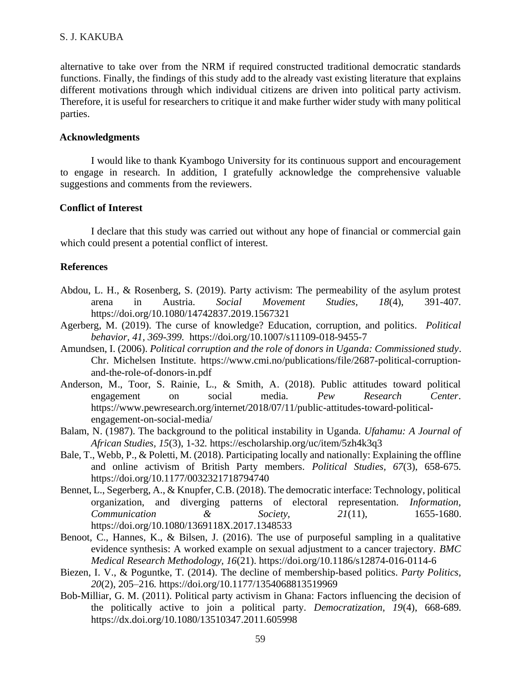# S. J. KAKUBA

alternative to take over from the NRM if required constructed traditional democratic standards functions. Finally, the findings of this study add to the already vast existing literature that explains different motivations through which individual citizens are driven into political party activism. Therefore, it is useful for researchers to critique it and make further wider study with many political parties.

### **Acknowledgments**

I would like to thank Kyambogo University for its continuous support and encouragement to engage in research. In addition, I gratefully acknowledge the comprehensive valuable suggestions and comments from the reviewers.

# **Conflict of Interest**

I declare that this study was carried out without any hope of financial or commercial gain which could present a potential conflict of interest.

### **References**

- Abdou, L. H., & Rosenberg, S. (2019). Party activism: The permeability of the asylum protest arena in Austria. *Social Movement Studies, 18*(4), 391-407*.*  <https://doi.org/10.1080/14742837.2019.1567321>
- Agerberg, M. (2019). The curse of knowledge? Education, corruption, and politics. *Political behavior, 41, 369-399.* <https://doi.org/10.1007/s11109-018-9455-7>
- Amundsen, I. (2006). *Political corruption and the role of donors in Uganda: Commissioned study*. Chr. Michelsen Institute. [https://www.cmi.no/publications/file/2687-political-corruption](https://www.cmi.no/publications/file/2687-political-corruption-and-the-role-of-donors-in.pdf)[and-the-role-of-donors-in.pdf](https://www.cmi.no/publications/file/2687-political-corruption-and-the-role-of-donors-in.pdf)
- Anderson, M., Toor, S. Rainie, L., & Smith, A. (2018). Public attitudes toward political engagement on social media. *Pew Research Center*. [https://www.pewresearch.org/internet/2018/07/11/public-attitudes-toward-political](https://www.pewresearch.org/internet/2018/07/11/public-attitudes-toward-political-engagement-on-social-media/)[engagement-on-social-media/](https://www.pewresearch.org/internet/2018/07/11/public-attitudes-toward-political-engagement-on-social-media/)
- Balam, N. (1987). The background to the political instability in Uganda. *Ufahamu: A Journal of African Studies, 15*(3), 1-32*.* <https://escholarship.org/uc/item/5zh4k3q3>
- Bale, T., Webb, P., & Poletti, M. (2018). Participating locally and nationally: Explaining the offline and online activism of British Party members. *Political Studies, 67*(3), 658-675*.* <https://doi.org/10.1177/0032321718794740>
- Bennet, L., Segerberg, A., & Knupfer, C.B. (2018). The democratic interface: Technology, political organization, and diverging patterns of electoral representation. *Information, Communication & Society, 21*(11), 1655-1680. <https://doi.org/10.1080/1369118X.2017.1348533>
- Benoot, C., Hannes, K., & Bilsen, J. (2016). The use of purposeful sampling in a qualitative evidence synthesis: A worked example on sexual adjustment to a cancer trajectory. *BMC Medical Research Methodology, 16*(21). <https://doi.org/10.1186/s12874-016-0114-6>
- Biezen, I. V., & Poguntke, T. (2014). The decline of membership-based politics. *Party Politics, 20*(2), 205–216*.* [https://doi.org/10.1177/1354068813519969](https://doi.org/10.1177%2F1354068813519969)
- Bob-Milliar, G. M. (2011). Political party activism in Ghana: Factors influencing the decision of the politically active to join a political party. *Democratization, 19*(4), 668-689*.*  <https://dx.doi.org/10.1080/13510347.2011.605998>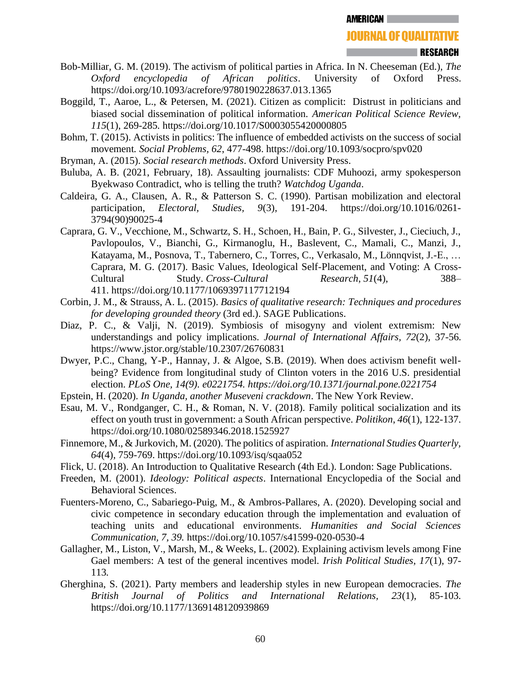### **RESEARCH**

- Bob-Milliar, G. M. (2019). The activism of political parties in Africa. In N. Cheeseman (Ed.), *The Oxford encyclopedia of African politics*. University of Oxford Press. <https://doi.org/10.1093/acrefore/9780190228637.013.1365>
- Boggild, T., Aaroe, L., & Petersen, M. (2021). Citizen as complicit: Distrust in politicians and biased social dissemination of political information. *American Political Science Review, 115*(1), 269-285*.* <https://doi.org/10.1017/S0003055420000805>
- Bohm, T. (2015). Activists in politics: The influence of embedded activists on the success of social movement*. Social Problems, 62*, 477-498.<https://doi.org/10.1093/socpro/spv020>
- Bryman, A. (2015). *Social research methods*. Oxford University Press.
- Buluba, A. B. (2021, February, 18). Assaulting journalists: CDF Muhoozi, army spokesperson Byekwaso Contradict, who is telling the truth? *Watchdog Uganda*.
- Caldeira, G. A., Clausen, A. R., & Patterson S. C. (1990). Partisan mobilization and electoral participation, *Electoral, Studies, 9*(3), 191-204. [https://doi.org/10.1016/0261-](https://doi.org/10.1016/0261-3794(90)90025-4) [3794\(90\)90025-4](https://doi.org/10.1016/0261-3794(90)90025-4)
- Caprara, G. V., Vecchione, M., Schwartz, S. H., Schoen, H., Bain, P. G., Silvester, J., Cieciuch, J., Pavlopoulos, V., Bianchi, G., Kirmanoglu, H., Baslevent, C., Mamali, C., Manzi, J., Katayama, M., Posnova, T., Tabernero, C., Torres, C., Verkasalo, M., Lönnqvist, J.-E., … Caprara, M. G. (2017). Basic Values, Ideological Self-Placement, and Voting: A Cross-Cultural Study. *Cross-Cultural Research*, *51*(4), 388– 411. <https://doi.org/10.1177/1069397117712194>
- Corbin, J. M., & Strauss, A. L. (2015). *Basics of qualitative research: Techniques and procedures for developing grounded theory* (3rd ed.). SAGE Publications.
- Diaz, P. C., & Valii, N. (2019). Symbiosis of misogyny and violent extremism: New understandings and policy implications. *Journal of International Affairs, 72*(2), 37-56*.*  <https://www.jstor.org/stable/10.2307/26760831>
- Dwyer, P.C., Chang, Y-P., Hannay, J. & Algoe, S.B. (2019). When does activism benefit wellbeing? Evidence from longitudinal study of Clinton voters in the 2016 U.S. presidential election. *PLoS One, 14(9). e0221754.<https://doi.org/10.1371/journal.pone.0221754>*
- Epstein, H. (2020). *In Uganda, another Museveni crackdown*. The New York Review.
- Esau, M. V., Rondganger, C. H., & Roman, N. V. (2018). Family political socialization and its effect on youth trust in government: a South African perspective. *Politikon*, *46*(1), 122-137. <https://doi.org/10.1080/02589346.2018.1525927>
- Finnemore, M., & Jurkovich, M. (2020). The politics of aspiration. *International Studies Quarterly, 64*(4), 759-769.<https://doi.org/10.1093/isq/sqaa052>
- Flick, U. (2018). An Introduction to Qualitative Research (4th Ed.). London: Sage Publications.
- Freeden, M. (2001). *Ideology: Political aspects*. International Encyclopedia of the Social and Behavioral Sciences.
- Fuenters-Moreno, C., Sabariego-Puig, M., & Ambros-Pallares, A. (2020). Developing social and civic competence in secondary education through the implementation and evaluation of teaching units and educational environments. *Humanities and Social Sciences Communication, 7, 39.* <https://doi.org/10.1057/s41599-020-0530-4>
- Gallagher, M., Liston, V., Marsh, M., & Weeks, L. (2002). Explaining activism levels among Fine Gael members: A test of the general incentives model. *Irish Political Studies, 17*(1), 97- 113*.*
- Gherghina, S. (2021). Party members and leadership styles in new European democracies. *The British Journal of Politics and International Relations, 23*(1), 85-103*.*  <https://doi.org/10.1177/1369148120939869>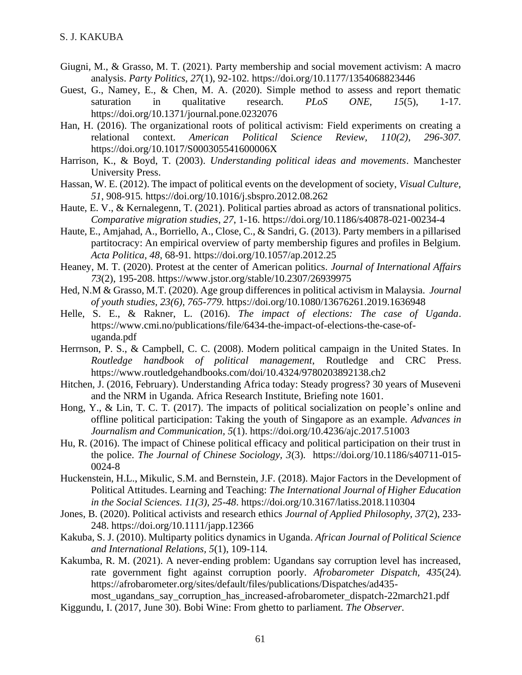- Giugni, M., & Grasso, M. T. (2021). Party membership and social movement activism: A macro analysis. *Party Politics, 27*(1), 92-102*.* <https://doi.org/10.1177/1354068823446>
- Guest, G., Namey, E., & Chen, M. A. (2020). Simple method to assess and report thematic saturation in qualitative research. *PLoS ONE, 15*(5), 1-17*.*  <https://doi.org/10.1371/journal.pone.0232076>
- Han, H. (2016). The organizational roots of political activism: Field experiments on creating a relational context. *American Political Science Review, 110(2), 296-307.*  <https://doi.org/10.1017/S000305541600006X>
- Harrison, K., & Boyd, T. (2003). *Understanding political ideas and movements*. Manchester University Press.
- Hassan, W. E. (2012). The impact of political events on the development of society, *Visual Culture, 51*, 908-915*.* <https://doi.org/10.1016/j.sbspro.2012.08.262>
- Haute, E. V., & Kernalegenn, T. (2021). Political parties abroad as actors of transnational politics. *Comparative migration studies*, *27*, 1-16.<https://doi.org/10.1186/s40878-021-00234-4>
- Haute, E., Amjahad, A., Borriello, A., Close, C., & Sandri, G. (2013). Party members in a pillarised partitocracy: An empirical overview of party membership figures and profiles in Belgium. *Acta Politica, 48*, 68-91*.* <https://doi.org/10.1057/ap.2012.25>
- Heaney, M. T. (2020). Protest at the center of American politics. *Journal of International Affairs 73*(2), 195-208. <https://www.jstor.org/stable/10.2307/26939975>
- Hed, N.M & Grasso, M.T. (2020). Age group differences in political activism in Malaysia. *Journal of youth studies, 23(6), 765-779.* <https://doi.org/10.1080/13676261.2019.1636948>
- Helle, S. E., & Rakner, L. (2016). *The impact of elections: The case of Uganda*. [https://www.cmi.no/publications/file/6434-the-impact-of-elections-the-case-of](https://www.cmi.no/publications/file/6434-the-impact-of-elections-the-case-of-uganda.pdf)[uganda.pdf](https://www.cmi.no/publications/file/6434-the-impact-of-elections-the-case-of-uganda.pdf)
- Herrnson, P. S., & Campbell, C. C. (2008). Modern political campaign in the United States. In *Routledge handbook of political management*, Routledge and CRC Press. <https://www.routledgehandbooks.com/doi/10.4324/9780203892138.ch2>
- Hitchen, J. (2016, February). Understanding Africa today: Steady progress? 30 years of Museveni and the NRM in Uganda. Africa Research Institute, Briefing note 1601.
- Hong, Y., & Lin, T. C. T. (2017). The impacts of political socialization on people's online and offline political participation: Taking the youth of Singapore as an example. *Advances in Journalism and Communication, 5*(1).<https://doi.org/10.4236/ajc.2017.51003>
- Hu, R. (2016). The impact of Chinese political efficacy and political participation on their trust in the police. *The Journal of Chinese Sociology, 3*(3)*.* [https://doi.org/10.1186/s40711-015-](https://doi.org/10.1186/s40711-015-0024-8) [0024-8](https://doi.org/10.1186/s40711-015-0024-8)
- Huckenstein, H.L., Mikulic, S.M. and Bernstein, J.F. (2018). Major Factors in the Development of Political Attitudes. Learning and Teaching: *The International Journal of Higher Education in the Social Sciences. 11(3), 25-48*.<https://doi.org/10.3167/latiss.2018.110304>
- Jones, B. (2020). Political activists and research ethics *Journal of Applied Philosophy, 37*(2), 233- 248.<https://doi.org/10.1111/japp.12366>
- Kakuba, S. J. (2010). Multiparty politics dynamics in Uganda. *African Journal of Political Science and International Relations, 5*(1), 109-114*.*
- Kakumba, R. M. (2021). A never-ending problem: Ugandans say corruption level has increased, rate government fight against corruption poorly. *Afrobarometer Dispatch, 435*(24)*.*  [https://afrobarometer.org/sites/default/files/publications/Dispatches/ad435-](https://afrobarometer.org/sites/default/files/publications/Dispatches/ad435-most_ugandans_say_corruption_has_increased-afrobarometer_dispatch-22march21.pdf)

[most\\_ugandans\\_say\\_corruption\\_has\\_increased-afrobarometer\\_dispatch-22march21.pdf](https://afrobarometer.org/sites/default/files/publications/Dispatches/ad435-most_ugandans_say_corruption_has_increased-afrobarometer_dispatch-22march21.pdf) Kiggundu, I. (2017, June 30). Bobi Wine: From ghetto to parliament. *The Observer.*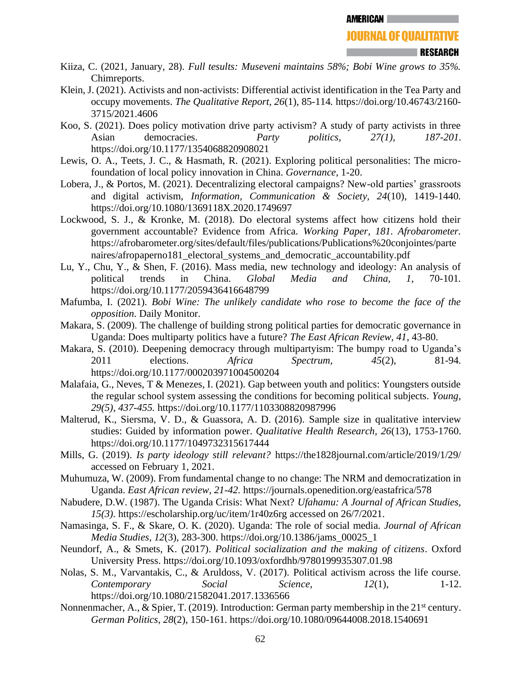- Kiiza, C. (2021, January, 28). *Full tesults: Museveni maintains 58%; Bobi Wine grows to 35%.* Chimreports.
- Klein, J. (2021). Activists and non-activists: Differential activist identification in the Tea Party and occupy movements. *The Qualitative Report, 26*(1), 85-114*.* [https://doi.org/10.46743/2160-](https://doi.org/10.46743/2160-3715/2021.4606) [3715/2021.4606](https://doi.org/10.46743/2160-3715/2021.4606)
- Koo, S. (2021). Does policy motivation drive party activism? A study of party activists in three Asian democracies. *Party politics, 27(1), 187-201.*  <https://doi.org/10.1177/1354068820908021>
- Lewis, O. A., Teets, J. C., & Hasmath, R. (2021). Exploring political personalities: The microfoundation of local policy innovation in China. *Governance*, 1-20.
- Lobera, J., & Portos, M. (2021). Decentralizing electoral campaigns? New-old parties' grassroots and digital activism, *Information, Communication & Society, 24*(10), 1419-1440*.*  <https://doi.org/10.1080/1369118X.2020.1749697>
- Lockwood, S. J., & Kronke, M. (2018). Do electoral systems affect how citizens hold their government accountable? Evidence from Africa. *Working Paper, 181. Afrobarometer.*  [https://afrobarometer.org/sites/default/files/publications/Publications%20conjointes/parte](https://afrobarometer.org/sites/default/files/publications/Publications%20conjointes/partenaires/afropaperno181_electoral_systems_and_democratic_accountability.pdf) naires/afropaperno181 electoral systems and democratic accountability.pdf
- Lu, Y., Chu, Y., & Shen, F. (2016). Mass media, new technology and ideology: An analysis of political trends in China. *Global Media and China, 1*, 70-101*.* <https://doi.org/10.1177/2059436416648799>
- Mafumba, I. (2021). *Bobi Wine: The unlikely candidate who rose to become the face of the opposition*. Daily Monitor.
- Makara, S. (2009). The challenge of building strong political parties for democratic governance in Uganda: Does multiparty politics have a future? *The East African Review, 41*, 43-80.
- Makara, S. (2010). Deepening democracy through multipartyism: The bumpy road to Uganda's 2011 elections. *Africa Spectrum, 45*(2), 81-94*.*  <https://doi.org/10.1177/000203971004500204>
- Malafaia, G., Neves, T & Menezes, I. (2021). Gap between youth and politics: Youngsters outside the regular school system assessing the conditions for becoming political subjects. *Young, 29(5), 437-455.* <https://doi.org/10.1177/1103308820987996>
- Malterud, K., Siersma, V. D., & Guassora, A. D. (2016). Sample size in qualitative interview studies: Guided by information power. *Qualitative Health Research, 26*(13), 1753-1760. <https://doi.org/10.1177/1049732315617444>
- Mills, G. (2019). *Is party ideology still relevant?* <https://the1828journal.com/article/2019/1/29/> accessed on February 1, 2021.
- Muhumuza, W. (2009). From fundamental change to no change: The NRM and democratization in Uganda. *East African review, 21-42.* <https://journals.openedition.org/eastafrica/578>
- Nabudere, D.W. (1987). The Uganda Crisis: What Next? *Ufahamu: A Journal of African Studies, 15(3).* <https://escholarship.org/uc/item/1r40z6rg> accessed on 26/7/2021.
- Namasinga, S. F., & Skare, O. K. (2020). Uganda: The role of social media. *Journal of African Media Studies, 12*(3), 283-300. [https://doi.org/10.1386/jams\\_00025\\_1](https://doi.org/10.1386/jams_00025_1)
- Neundorf, A., & Smets, K. (2017). *Political socialization and the making of citizens*. Oxford University Press.<https://doi.org/10.1093/oxfordhb/9780199935307.01.98>
- Nolas, S. M., Varvantakis, C., & Aruldoss, V. (2017). Political activism across the life course. *Contemporary Social Science, 12*(1), 1-12. <https://doi.org/10.1080/21582041.2017.1336566>
- Nonnenmacher, A., & Spier, T. (2019). Introduction: German party membership in the 21<sup>st</sup> century. *German Politics, 28*(2), 150-161. <https://doi.org/10.1080/09644008.2018.1540691>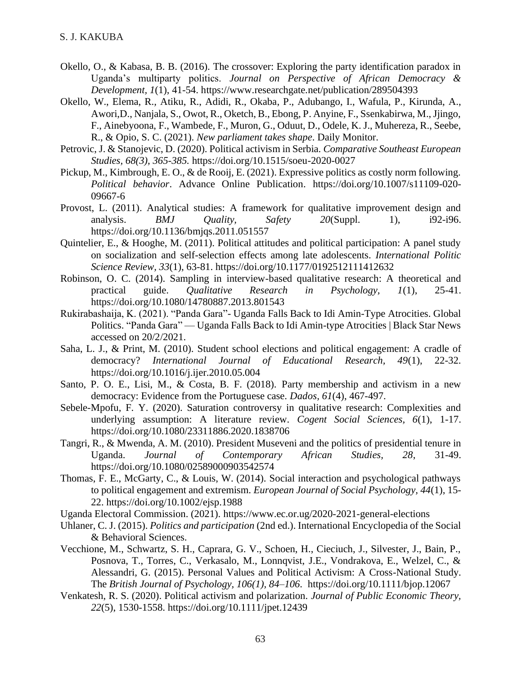- Okello, O., & Kabasa, B. B. (2016). The crossover: Exploring the party identification paradox in Uganda's multiparty politics. *Journal on Perspective of African Democracy & Development, 1*(1), 41-54. <https://www.researchgate.net/publication/289504393>
- Okello, W., Elema, R.*,* Atiku, R., Adidi, R., Okaba, P., Adubango, I., Wafula, P., Kirunda, A., Awori,D., Nanjala, S., Owot, R., Oketch, B., Ebong, P. Anyine, F., Ssenkabirwa, M., Jjingo, F., Ainebyoona, F., Wambede, F., Muron, G., Oduut, D., Odele, K. J., Muhereza, R., Seebe, R., & Opio, S. C. (2021). *New parliament takes shape*. Daily Monitor.
- Petrovic, J. & Stanojevic, D. (2020). Political activism in Serbia. *Comparative Southeast European Studies, 68(3), 365-385.* <https://doi.org/10.1515/soeu-2020-0027>
- Pickup, M., Kimbrough, E. O., & de Rooij, E. (2021). Expressive politics as costly norm following. *Political behavior*. Advance Online Publication. [https://doi.org/10.1007/s11109-020-](https://doi.org/10.1007/s11109-020-09667-6) [09667-6](https://doi.org/10.1007/s11109-020-09667-6)
- Provost, L. (2011). Analytical studies: A framework for qualitative improvement design and analysis. *BMJ Quality, Safety 20*(Suppl. 1), i92-i96. <https://doi.org/10.1136/bmjqs.2011.051557>
- Quintelier, E., & Hooghe, M. (2011). Political attitudes and political participation: A panel study on socialization and self-selection effects among late adolescents. *International Politic Science Review, 33*(1), 63-81. <https://doi.org/10.1177/0192512111412632>
- Robinson, O. C. (2014). Sampling in interview-based qualitative research: A theoretical and practical guide. *Qualitative Research in Psychology, 1*(1), 25-41. <https://doi.org/10.1080/14780887.2013.801543>
- Rukirabashaija, K. (2021). "Panda Gara"- Uganda Falls Back to Idi Amin-Type Atrocities. Global Politics. "Panda Gara" — [Uganda Falls Back to Idi Amin-type Atrocities | Black Star News](https://www.blackstarnews.com/global-politics/africa/%E2%80%9Cpanda-gara%E2%80%9D-%E2%80%94-uganda-falls-back-to-idi-amin-type-atrocities) accessed on 20/2/2021.
- Saha, L. J., & Print, M. (2010). Student school elections and political engagement: A cradle of democracy? *International Journal of Educational Research, 49*(1), 22-32. <https://doi.org/10.1016/j.ijer.2010.05.004>
- Santo, P. O. E., Lisi, M., & Costa, B. F. (2018). Party membership and activism in a new democracy: Evidence from the Portuguese case. *Dados, 61*(4), 467-497.
- Sebele-Mpofu, F. Y. (2020). Saturation controversy in qualitative research: Complexities and underlying assumption: A literature review. *Cogent Social Sciences, 6*(1), 1-17. <https://doi.org/10.1080/23311886.2020.1838706>
- Tangri, R., & Mwenda, A. M. (2010). President Museveni and the politics of presidential tenure in Uganda. *Journal of Contemporary African Studies, 28*, 31-49. <https://doi.org/10.1080/02589000903542574>
- Thomas, F. E., McGarty, C., & Louis, W. (2014). Social interaction and psychological pathways to political engagement and extremism. *European Journal of Social Psychology, 44*(1), 15- 22. <https://doi.org/10.1002/ejsp.1988>
- Uganda Electoral Commission. (2021).<https://www.ec.or.ug/2020-2021-general-elections>
- Uhlaner, C. J. (2015). *Politics and participation* (2nd ed.). International Encyclopedia of the Social & Behavioral Sciences.
- Vecchione, M., Schwartz, S. H., Caprara, G. V., Schoen, H., Cieciuch, J., Silvester, J., Bain, P., Posnova, T., Torres, C., Verkasalo, M., Lonnqvist, J.E., Vondrakova, E., Welzel, C., & Alessandri, G. (2015). Personal Values and Political Activism: A Cross-National Study. The *British Journal of Psychology, 106(1), 84–106*. <https://doi.org/10.1111/bjop.12067>
- Venkatesh, R. S. (2020). Political activism and polarization. *Journal of Public Economic Theory, 22*(5), 1530-1558. <https://doi.org/10.1111/jpet.12439>